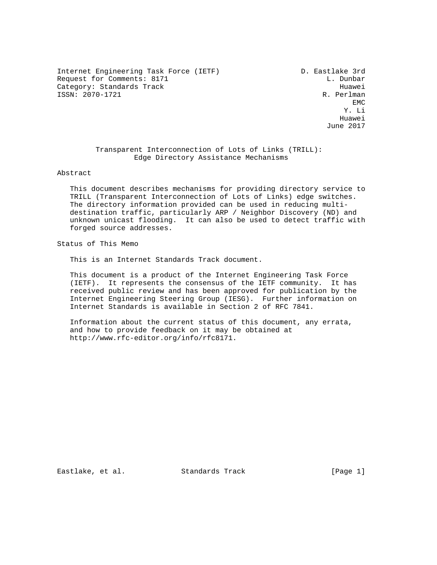Internet Engineering Task Force (IETF) D. Eastlake 3rd Request for Comments: 8171 L. Dunbar Category: Standards Track Huawei (1993)<br>ISSN: 2070-1721 R. Perlman ISSN: 2070-1721 R. Perlman EMC

**EMC** EXPERIMENT AND RESERVE EMC Y. Li Huawei June 2017

### Transparent Interconnection of Lots of Links (TRILL): Edge Directory Assistance Mechanisms

#### Abstract

 This document describes mechanisms for providing directory service to TRILL (Transparent Interconnection of Lots of Links) edge switches. The directory information provided can be used in reducing multi destination traffic, particularly ARP / Neighbor Discovery (ND) and unknown unicast flooding. It can also be used to detect traffic with forged source addresses.

# Status of This Memo

This is an Internet Standards Track document.

 This document is a product of the Internet Engineering Task Force (IETF). It represents the consensus of the IETF community. It has received public review and has been approved for publication by the Internet Engineering Steering Group (IESG). Further information on Internet Standards is available in Section 2 of RFC 7841.

 Information about the current status of this document, any errata, and how to provide feedback on it may be obtained at http://www.rfc-editor.org/info/rfc8171.

Eastlake, et al. Standards Track [Page 1]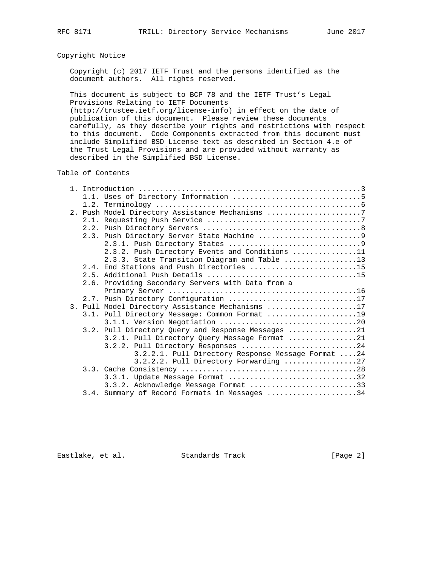# Copyright Notice

 Copyright (c) 2017 IETF Trust and the persons identified as the document authors. All rights reserved.

 This document is subject to BCP 78 and the IETF Trust's Legal Provisions Relating to IETF Documents

 (http://trustee.ietf.org/license-info) in effect on the date of publication of this document. Please review these documents carefully, as they describe your rights and restrictions with respect to this document. Code Components extracted from this document must include Simplified BSD License text as described in Section 4.e of the Trust Legal Provisions and are provided without warranty as described in the Simplified BSD License.

Table of Contents

|  | 2. Push Model Directory Assistance Mechanisms 7    |
|--|----------------------------------------------------|
|  |                                                    |
|  |                                                    |
|  |                                                    |
|  |                                                    |
|  | 2.3.2. Push Directory Events and Conditions 11     |
|  | 2.3.3. State Transition Diagram and Table 13       |
|  | 2.4. End Stations and Push Directories 15          |
|  |                                                    |
|  | 2.6. Providing Secondary Servers with Data from a  |
|  |                                                    |
|  | 2.7. Push Directory Configuration 17               |
|  | 3. Pull Model Directory Assistance Mechanisms 17   |
|  | 3.1. Pull Directory Message: Common Format 19      |
|  |                                                    |
|  | 3.2. Pull Directory Query and Response Messages 21 |
|  | 3.2.1. Pull Directory Query Message Format 21      |
|  | 3.2.2. Pull Directory Responses 24                 |
|  | 3.2.2.1. Pull Directory Response Message Format 24 |
|  | 3.2.2.2. Pull Directory Forwarding 27              |
|  |                                                    |
|  | 3.3.1. Update Message Format 32                    |
|  | 3.3.2. Acknowledge Message Format 33               |
|  | 3.4. Summary of Record Formats in Messages 34      |
|  |                                                    |

Eastlake, et al. Standards Track [Page 2]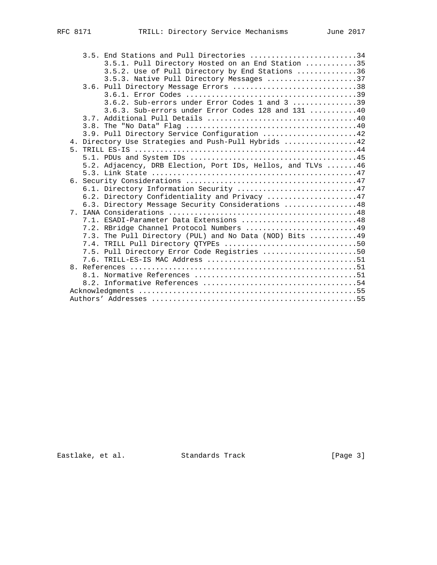|  | 3.5. End Stations and Pull Directories 34                   |  |
|--|-------------------------------------------------------------|--|
|  | 3.5.1. Pull Directory Hosted on an End Station 35           |  |
|  | 3.5.2. Use of Pull Directory by End Stations 36             |  |
|  | 3.5.3. Native Pull Directory Messages 37                    |  |
|  | 3.6. Pull Directory Message Errors 38                       |  |
|  |                                                             |  |
|  | 3.6.2. Sub-errors under Error Codes 1 and 3 39              |  |
|  | 3.6.3. Sub-errors under Error Codes 128 and 131 40          |  |
|  |                                                             |  |
|  |                                                             |  |
|  | 3.9. Pull Directory Service Configuration 42                |  |
|  | 4. Directory Use Strategies and Push-Pull Hybrids 42        |  |
|  |                                                             |  |
|  |                                                             |  |
|  | 5.2. Adjacency, DRB Election, Port IDs, Hellos, and TLVs 46 |  |
|  |                                                             |  |
|  |                                                             |  |
|  | 6.1. Directory Information Security 47                      |  |
|  | 6.2. Directory Confidentiality and Privacy 47               |  |
|  | 6.3. Directory Message Security Considerations 48           |  |
|  |                                                             |  |
|  | 7.1. ESADI-Parameter Data Extensions 48                     |  |
|  | 7.2. RBridge Channel Protocol Numbers 49                    |  |
|  | 7.3. The Pull Directory (PUL) and No Data (NOD) Bits 49     |  |
|  | 7.4. TRILL Pull Directory QTYPEs 50                         |  |
|  | 7.5. Pull Directory Error Code Registries 50                |  |
|  |                                                             |  |
|  |                                                             |  |
|  |                                                             |  |
|  |                                                             |  |
|  |                                                             |  |
|  |                                                             |  |

Eastlake, et al. Standards Track [Page 3]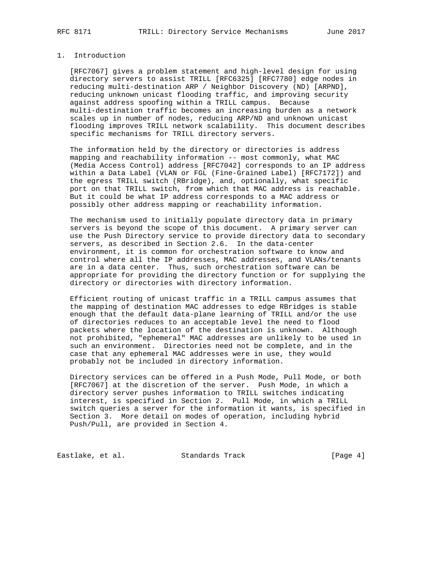# 1. Introduction

 [RFC7067] gives a problem statement and high-level design for using directory servers to assist TRILL [RFC6325] [RFC7780] edge nodes in reducing multi-destination ARP / Neighbor Discovery (ND) [ARPND], reducing unknown unicast flooding traffic, and improving security against address spoofing within a TRILL campus. Because multi-destination traffic becomes an increasing burden as a network scales up in number of nodes, reducing ARP/ND and unknown unicast flooding improves TRILL network scalability. This document describes specific mechanisms for TRILL directory servers.

 The information held by the directory or directories is address mapping and reachability information -- most commonly, what MAC (Media Access Control) address [RFC7042] corresponds to an IP address within a Data Label (VLAN or FGL (Fine-Grained Label) [RFC7172]) and the egress TRILL switch (RBridge), and, optionally, what specific port on that TRILL switch, from which that MAC address is reachable. But it could be what IP address corresponds to a MAC address or possibly other address mapping or reachability information.

 The mechanism used to initially populate directory data in primary servers is beyond the scope of this document. A primary server can use the Push Directory service to provide directory data to secondary servers, as described in Section 2.6. In the data-center environment, it is common for orchestration software to know and control where all the IP addresses, MAC addresses, and VLANs/tenants are in a data center. Thus, such orchestration software can be appropriate for providing the directory function or for supplying the directory or directories with directory information.

 Efficient routing of unicast traffic in a TRILL campus assumes that the mapping of destination MAC addresses to edge RBridges is stable enough that the default data-plane learning of TRILL and/or the use of directories reduces to an acceptable level the need to flood packets where the location of the destination is unknown. Although not prohibited, "ephemeral" MAC addresses are unlikely to be used in such an environment. Directories need not be complete, and in the case that any ephemeral MAC addresses were in use, they would probably not be included in directory information.

 Directory services can be offered in a Push Mode, Pull Mode, or both [RFC7067] at the discretion of the server. Push Mode, in which a directory server pushes information to TRILL switches indicating interest, is specified in Section 2. Pull Mode, in which a TRILL switch queries a server for the information it wants, is specified in Section 3. More detail on modes of operation, including hybrid Push/Pull, are provided in Section 4.

Eastlake, et al. Standards Track [Page 4]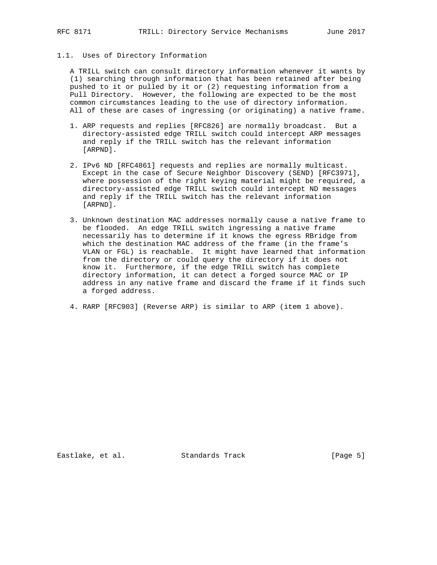1.1. Uses of Directory Information

 A TRILL switch can consult directory information whenever it wants by (1) searching through information that has been retained after being pushed to it or pulled by it or (2) requesting information from a Pull Directory. However, the following are expected to be the most common circumstances leading to the use of directory information. All of these are cases of ingressing (or originating) a native frame.

- 1. ARP requests and replies [RFC826] are normally broadcast. But a directory-assisted edge TRILL switch could intercept ARP messages and reply if the TRILL switch has the relevant information [ARPND].
- 2. IPv6 ND [RFC4861] requests and replies are normally multicast. Except in the case of Secure Neighbor Discovery (SEND) [RFC3971], where possession of the right keying material might be required, a directory-assisted edge TRILL switch could intercept ND messages and reply if the TRILL switch has the relevant information [ARPND].
- 3. Unknown destination MAC addresses normally cause a native frame to be flooded. An edge TRILL switch ingressing a native frame necessarily has to determine if it knows the egress RBridge from which the destination MAC address of the frame (in the frame's VLAN or FGL) is reachable. It might have learned that information from the directory or could query the directory if it does not know it. Furthermore, if the edge TRILL switch has complete directory information, it can detect a forged source MAC or IP address in any native frame and discard the frame if it finds such a forged address.
	- 4. RARP [RFC903] (Reverse ARP) is similar to ARP (item 1 above).

Eastlake, et al. Standards Track [Page 5]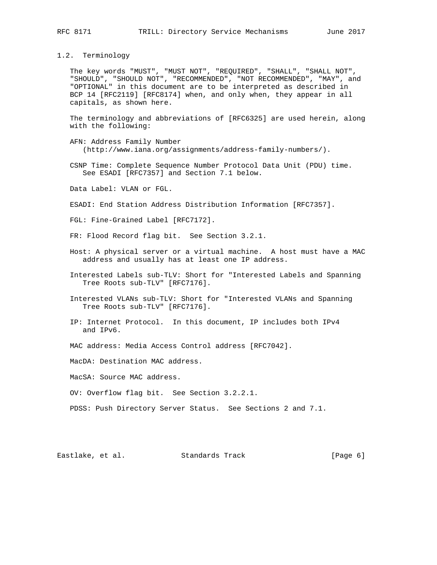#### 1.2. Terminology

 The key words "MUST", "MUST NOT", "REQUIRED", "SHALL", "SHALL NOT", "SHOULD", "SHOULD NOT", "RECOMMENDED", "NOT RECOMMENDED", "MAY", and "OPTIONAL" in this document are to be interpreted as described in BCP 14 [RFC2119] [RFC8174] when, and only when, they appear in all capitals, as shown here.

 The terminology and abbreviations of [RFC6325] are used herein, along with the following:

- AFN: Address Family Number (http://www.iana.org/assignments/address-family-numbers/).
- CSNP Time: Complete Sequence Number Protocol Data Unit (PDU) time. See ESADI [RFC7357] and Section 7.1 below.

Data Label: VLAN or FGL.

- ESADI: End Station Address Distribution Information [RFC7357].
- FGL: Fine-Grained Label [RFC7172].

FR: Flood Record flag bit. See Section 3.2.1.

- Host: A physical server or a virtual machine. A host must have a MAC address and usually has at least one IP address.
- Interested Labels sub-TLV: Short for "Interested Labels and Spanning Tree Roots sub-TLV" [RFC7176].
- Interested VLANs sub-TLV: Short for "Interested VLANs and Spanning Tree Roots sub-TLV" [RFC7176].
- IP: Internet Protocol. In this document, IP includes both IPv4 and IPv6.
- MAC address: Media Access Control address [RFC7042].

MacDA: Destination MAC address.

MacSA: Source MAC address.

OV: Overflow flag bit. See Section 3.2.2.1.

PDSS: Push Directory Server Status. See Sections 2 and 7.1.

Eastlake, et al. Standards Track [Page 6]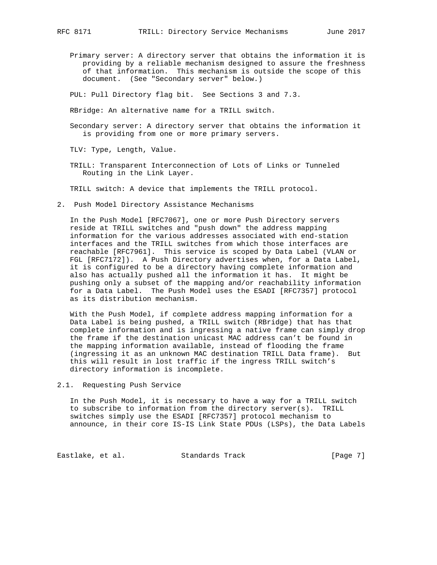Primary server: A directory server that obtains the information it is providing by a reliable mechanism designed to assure the freshness of that information. This mechanism is outside the scope of this document. (See "Secondary server" below.)

PUL: Pull Directory flag bit. See Sections 3 and 7.3.

RBridge: An alternative name for a TRILL switch.

 Secondary server: A directory server that obtains the information it is providing from one or more primary servers.

TLV: Type, Length, Value.

 TRILL: Transparent Interconnection of Lots of Links or Tunneled Routing in the Link Layer.

TRILL switch: A device that implements the TRILL protocol.

2. Push Model Directory Assistance Mechanisms

 In the Push Model [RFC7067], one or more Push Directory servers reside at TRILL switches and "push down" the address mapping information for the various addresses associated with end-station interfaces and the TRILL switches from which those interfaces are reachable [RFC7961]. This service is scoped by Data Label (VLAN or FGL [RFC7172]). A Push Directory advertises when, for a Data Label, it is configured to be a directory having complete information and also has actually pushed all the information it has. It might be pushing only a subset of the mapping and/or reachability information for a Data Label. The Push Model uses the ESADI [RFC7357] protocol as its distribution mechanism.

 With the Push Model, if complete address mapping information for a Data Label is being pushed, a TRILL switch (RBridge) that has that complete information and is ingressing a native frame can simply drop the frame if the destination unicast MAC address can't be found in the mapping information available, instead of flooding the frame (ingressing it as an unknown MAC destination TRILL Data frame). But this will result in lost traffic if the ingress TRILL switch's directory information is incomplete.

2.1. Requesting Push Service

 In the Push Model, it is necessary to have a way for a TRILL switch to subscribe to information from the directory server(s). TRILL switches simply use the ESADI [RFC7357] protocol mechanism to announce, in their core IS-IS Link State PDUs (LSPs), the Data Labels

Eastlake, et al. Standards Track [Page 7]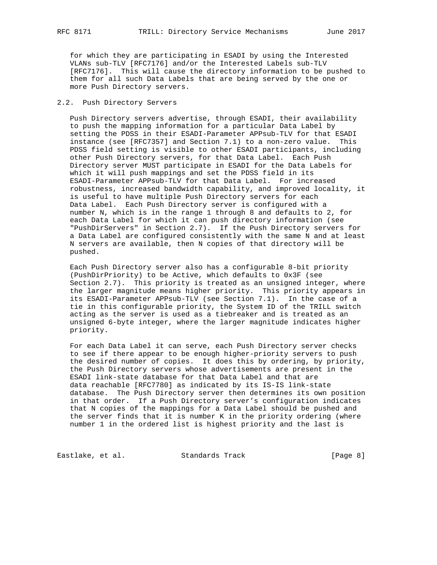for which they are participating in ESADI by using the Interested VLANs sub-TLV [RFC7176] and/or the Interested Labels sub-TLV [RFC7176]. This will cause the directory information to be pushed to them for all such Data Labels that are being served by the one or more Push Directory servers.

#### 2.2. Push Directory Servers

 Push Directory servers advertise, through ESADI, their availability to push the mapping information for a particular Data Label by setting the PDSS in their ESADI-Parameter APPsub-TLV for that ESADI instance (see [RFC7357] and Section 7.1) to a non-zero value. This PDSS field setting is visible to other ESADI participants, including other Push Directory servers, for that Data Label. Each Push Directory server MUST participate in ESADI for the Data Labels for which it will push mappings and set the PDSS field in its ESADI-Parameter APPsub-TLV for that Data Label. For increased robustness, increased bandwidth capability, and improved locality, it is useful to have multiple Push Directory servers for each Data Label. Each Push Directory server is configured with a number N, which is in the range 1 through 8 and defaults to 2, for each Data Label for which it can push directory information (see "PushDirServers" in Section 2.7). If the Push Directory servers for a Data Label are configured consistently with the same N and at least N servers are available, then N copies of that directory will be pushed.

 Each Push Directory server also has a configurable 8-bit priority (PushDirPriority) to be Active, which defaults to 0x3F (see Section 2.7). This priority is treated as an unsigned integer, where the larger magnitude means higher priority. This priority appears in its ESADI-Parameter APPsub-TLV (see Section 7.1). In the case of a tie in this configurable priority, the System ID of the TRILL switch acting as the server is used as a tiebreaker and is treated as an unsigned 6-byte integer, where the larger magnitude indicates higher priority.

 For each Data Label it can serve, each Push Directory server checks to see if there appear to be enough higher-priority servers to push the desired number of copies. It does this by ordering, by priority, the Push Directory servers whose advertisements are present in the ESADI link-state database for that Data Label and that are data reachable [RFC7780] as indicated by its IS-IS link-state database. The Push Directory server then determines its own position in that order. If a Push Directory server's configuration indicates that N copies of the mappings for a Data Label should be pushed and the server finds that it is number K in the priority ordering (where number 1 in the ordered list is highest priority and the last is

Eastlake, et al. Standards Track [Page 8]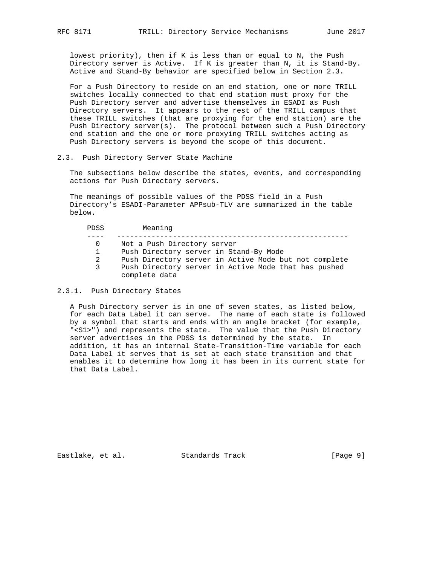lowest priority), then if K is less than or equal to N, the Push Directory server is Active. If K is greater than N, it is Stand-By. Active and Stand-By behavior are specified below in Section 2.3.

 For a Push Directory to reside on an end station, one or more TRILL switches locally connected to that end station must proxy for the Push Directory server and advertise themselves in ESADI as Push Directory servers. It appears to the rest of the TRILL campus that these TRILL switches (that are proxying for the end station) are the Push Directory server(s). The protocol between such a Push Directory end station and the one or more proxying TRILL switches acting as Push Directory servers is beyond the scope of this document.

#### 2.3. Push Directory Server State Machine

 The subsections below describe the states, events, and corresponding actions for Push Directory servers.

 The meanings of possible values of the PDSS field in a Push Directory's ESADI-Parameter APPsub-TLV are summarized in the table below.

| PDSS | Meaning                                               |
|------|-------------------------------------------------------|
|      |                                                       |
| 0    | Not a Push Directory server                           |
|      | Push Directory server in Stand-By Mode                |
| 2    | Push Directory server in Active Mode but not complete |
| 3    | Push Directory server in Active Mode that has pushed  |
|      | complete data                                         |

#### 2.3.1. Push Directory States

 A Push Directory server is in one of seven states, as listed below, for each Data Label it can serve. The name of each state is followed by a symbol that starts and ends with an angle bracket (for example, "<S1>") and represents the state. The value that the Push Directory server advertises in the PDSS is determined by the state. In addition, it has an internal State-Transition-Time variable for each Data Label it serves that is set at each state transition and that enables it to determine how long it has been in its current state for that Data Label.

Eastlake, et al. Standards Track [Page 9]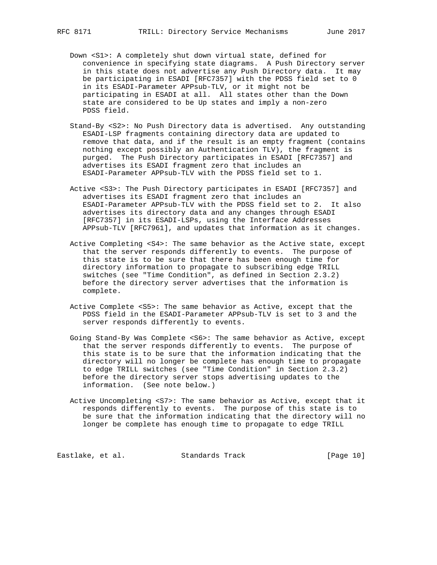- Down <S1>: A completely shut down virtual state, defined for convenience in specifying state diagrams. A Push Directory server in this state does not advertise any Push Directory data. It may be participating in ESADI [RFC7357] with the PDSS field set to 0 in its ESADI-Parameter APPsub-TLV, or it might not be participating in ESADI at all. All states other than the Down state are considered to be Up states and imply a non-zero PDSS field.
- Stand-By <S2>: No Push Directory data is advertised. Any outstanding ESADI-LSP fragments containing directory data are updated to remove that data, and if the result is an empty fragment (contains nothing except possibly an Authentication TLV), the fragment is purged. The Push Directory participates in ESADI [RFC7357] and advertises its ESADI fragment zero that includes an ESADI-Parameter APPsub-TLV with the PDSS field set to 1.
- Active <S3>: The Push Directory participates in ESADI [RFC7357] and advertises its ESADI fragment zero that includes an ESADI-Parameter APPsub-TLV with the PDSS field set to 2. It also advertises its directory data and any changes through ESADI [RFC7357] in its ESADI-LSPs, using the Interface Addresses APPsub-TLV [RFC7961], and updates that information as it changes.
- Active Completing <S4>: The same behavior as the Active state, except that the server responds differently to events. The purpose of this state is to be sure that there has been enough time for directory information to propagate to subscribing edge TRILL switches (see "Time Condition", as defined in Section 2.3.2) before the directory server advertises that the information is complete.
- Active Complete <S5>: The same behavior as Active, except that the PDSS field in the ESADI-Parameter APPsub-TLV is set to 3 and the server responds differently to events.
- Going Stand-By Was Complete <S6>: The same behavior as Active, except that the server responds differently to events. The purpose of this state is to be sure that the information indicating that the directory will no longer be complete has enough time to propagate to edge TRILL switches (see "Time Condition" in Section 2.3.2) before the directory server stops advertising updates to the information. (See note below.)
- Active Uncompleting <S7>: The same behavior as Active, except that it responds differently to events. The purpose of this state is to be sure that the information indicating that the directory will no longer be complete has enough time to propagate to edge TRILL

Eastlake, et al. Standards Track [Page 10]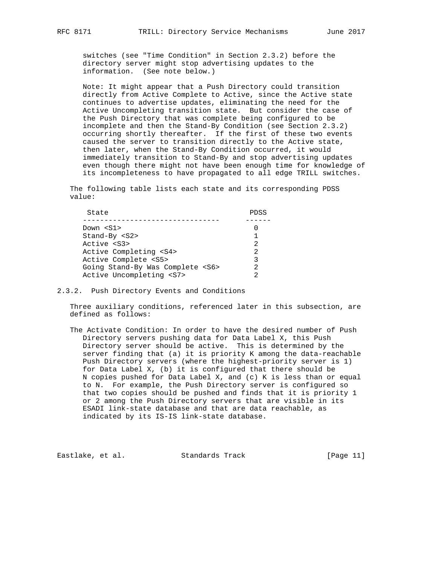switches (see "Time Condition" in Section 2.3.2) before the directory server might stop advertising updates to the information. (See note below.)

 Note: It might appear that a Push Directory could transition directly from Active Complete to Active, since the Active state continues to advertise updates, eliminating the need for the Active Uncompleting transition state. But consider the case of the Push Directory that was complete being configured to be incomplete and then the Stand-By Condition (see Section 2.3.2) occurring shortly thereafter. If the first of these two events caused the server to transition directly to the Active state, then later, when the Stand-By Condition occurred, it would immediately transition to Stand-By and stop advertising updates even though there might not have been enough time for knowledge of its incompleteness to have propagated to all edge TRILL switches.

 The following table lists each state and its corresponding PDSS value:

| State                                 | PDSS           |
|---------------------------------------|----------------|
| Down $< S1>$                          |                |
| $Stand-By < S2$                       | 1              |
| Active <s3></s3>                      | $\mathfrak{D}$ |
| Active Completing <s4></s4>           | $\mathfrak{D}$ |
| Active Complete <s5></s5>             | 3              |
| Going Stand-By Was Complete <s6></s6> | 2              |
| Active Uncompleting <s7></s7>         | っ              |

2.3.2. Push Directory Events and Conditions

 Three auxiliary conditions, referenced later in this subsection, are defined as follows:

 The Activate Condition: In order to have the desired number of Push Directory servers pushing data for Data Label X, this Push Directory server should be active. This is determined by the server finding that (a) it is priority K among the data-reachable Push Directory servers (where the highest-priority server is 1) for Data Label X, (b) it is configured that there should be N copies pushed for Data Label X, and (c) K is less than or equal to N. For example, the Push Directory server is configured so that two copies should be pushed and finds that it is priority 1 or 2 among the Push Directory servers that are visible in its ESADI link-state database and that are data reachable, as indicated by its IS-IS link-state database.

Eastlake, et al. Standards Track [Page 11]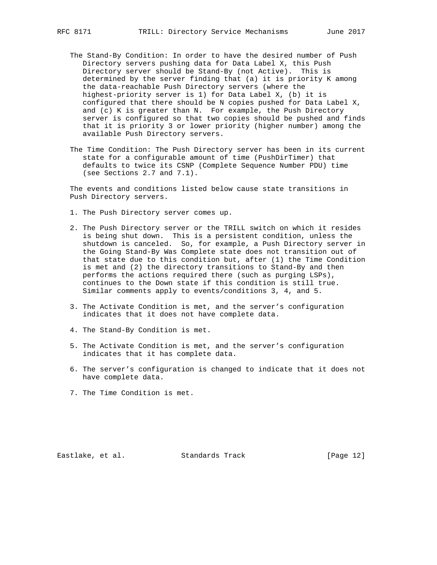- The Stand-By Condition: In order to have the desired number of Push Directory servers pushing data for Data Label X, this Push Directory server should be Stand-By (not Active). This is determined by the server finding that (a) it is priority K among the data-reachable Push Directory servers (where the highest-priority server is 1) for Data Label X, (b) it is configured that there should be N copies pushed for Data Label X, and (c) K is greater than N. For example, the Push Directory server is configured so that two copies should be pushed and finds that it is priority 3 or lower priority (higher number) among the available Push Directory servers.
- The Time Condition: The Push Directory server has been in its current state for a configurable amount of time (PushDirTimer) that defaults to twice its CSNP (Complete Sequence Number PDU) time (see Sections 2.7 and 7.1).

 The events and conditions listed below cause state transitions in Push Directory servers.

- 1. The Push Directory server comes up.
- 2. The Push Directory server or the TRILL switch on which it resides is being shut down. This is a persistent condition, unless the shutdown is canceled. So, for example, a Push Directory server in the Going Stand-By Was Complete state does not transition out of that state due to this condition but, after (1) the Time Condition is met and (2) the directory transitions to Stand-By and then performs the actions required there (such as purging LSPs), continues to the Down state if this condition is still true. Similar comments apply to events/conditions 3, 4, and 5.
- 3. The Activate Condition is met, and the server's configuration indicates that it does not have complete data.
- 4. The Stand-By Condition is met.
- 5. The Activate Condition is met, and the server's configuration indicates that it has complete data.
- 6. The server's configuration is changed to indicate that it does not have complete data.
- 7. The Time Condition is met.

Eastlake, et al. Standards Track [Page 12]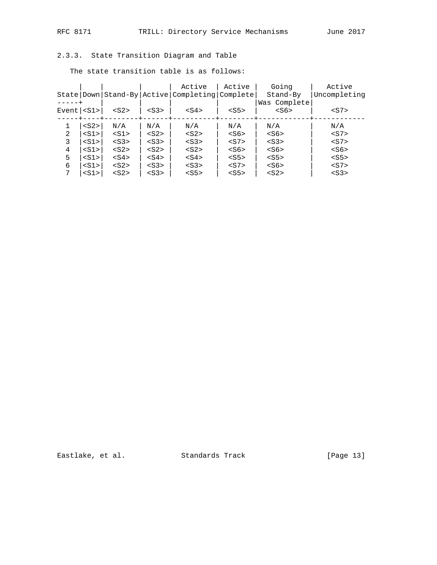# 2.3.3. State Transition Diagram and Table

The state transition table is as follows:

|                          |         |         |         | Active                                         | Active  | Going        | Active       |
|--------------------------|---------|---------|---------|------------------------------------------------|---------|--------------|--------------|
|                          |         |         |         | State Down Stand-By Active Completing Complete |         | Stand-By     | Uncompleting |
|                          |         |         |         |                                                |         | Was Complete |              |
| $Event$ $ $ < $S1$ > $ $ |         | $<$ S2> | $<$ S3> | $<$ S4>                                        | $<$ S5> | $<$ S6>      | $<$ S7>      |
|                          |         |         |         |                                                |         |              |              |
|                          | $<$ S2> | N/A     | N/A     | N/A                                            | N/A     | N/A          | N/A          |
| 2                        | $<$ S1> | $<$ S1> | $<$ S2> | $<$ S2>                                        | $<$ S6> | $<$ S6>      | $<$ S7>      |
| 3                        | $<$ S1> | $<$ S3> | $<$ S3> | $<$ S3>                                        | $<$ S7> | $<$ S3>      | $<$ S7>      |
| 4                        | $<$ S1> | $<$ S2> | $<$ S2> | $<$ S2>                                        | $<$ S6> | $<$ S6>      | $<$ S6>      |
| 5                        | $<$ S1> | $<$ S4> | $<$ S4> | $<$ S4>                                        | $<$ S5> | $<$ S5>      | $<$ S5>      |
| 6                        | $<$ S1> | $<$ S2> | $<$ S3> | $<$ S3>                                        | $<$ S7> | $<$ S6>      | $<$ S7>      |
| 7                        | $<$ S1> | $<$ S2> | $<$ S3> | $<$ S5>                                        | $<$ S5> | $<$ S2>      | $<$ S3>      |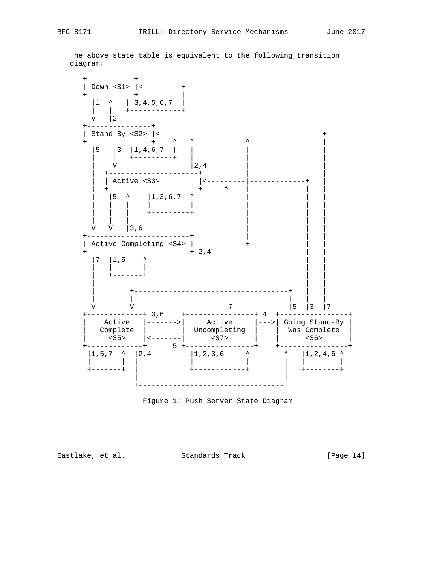The above state table is equivalent to the following transition diagram:



Figure 1: Push Server State Diagram

Eastlake, et al. Standards Track [Page 14]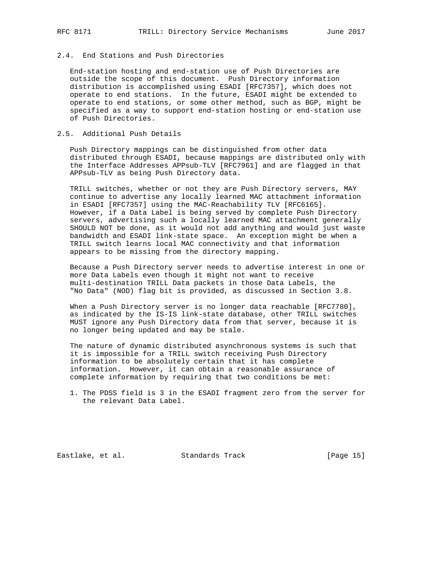### 2.4. End Stations and Push Directories

 End-station hosting and end-station use of Push Directories are outside the scope of this document. Push Directory information distribution is accomplished using ESADI [RFC7357], which does not operate to end stations. In the future, ESADI might be extended to operate to end stations, or some other method, such as BGP, might be specified as a way to support end-station hosting or end-station use of Push Directories.

#### 2.5. Additional Push Details

 Push Directory mappings can be distinguished from other data distributed through ESADI, because mappings are distributed only with the Interface Addresses APPsub-TLV [RFC7961] and are flagged in that APPsub-TLV as being Push Directory data.

 TRILL switches, whether or not they are Push Directory servers, MAY continue to advertise any locally learned MAC attachment information in ESADI [RFC7357] using the MAC-Reachability TLV [RFC6165]. However, if a Data Label is being served by complete Push Directory servers, advertising such a locally learned MAC attachment generally SHOULD NOT be done, as it would not add anything and would just waste bandwidth and ESADI link-state space. An exception might be when a TRILL switch learns local MAC connectivity and that information appears to be missing from the directory mapping.

 Because a Push Directory server needs to advertise interest in one or more Data Labels even though it might not want to receive multi-destination TRILL Data packets in those Data Labels, the "No Data" (NOD) flag bit is provided, as discussed in Section 3.8.

 When a Push Directory server is no longer data reachable [RFC7780], as indicated by the IS-IS link-state database, other TRILL switches MUST ignore any Push Directory data from that server, because it is no longer being updated and may be stale.

 The nature of dynamic distributed asynchronous systems is such that it is impossible for a TRILL switch receiving Push Directory information to be absolutely certain that it has complete information. However, it can obtain a reasonable assurance of complete information by requiring that two conditions be met:

Eastlake, et al. Standards Track [Page 15]

 <sup>1.</sup> The PDSS field is 3 in the ESADI fragment zero from the server for the relevant Data Label.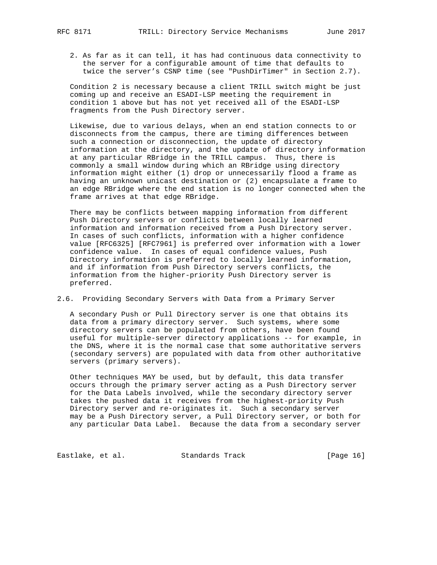2. As far as it can tell, it has had continuous data connectivity to the server for a configurable amount of time that defaults to twice the server's CSNP time (see "PushDirTimer" in Section 2.7).

 Condition 2 is necessary because a client TRILL switch might be just coming up and receive an ESADI-LSP meeting the requirement in condition 1 above but has not yet received all of the ESADI-LSP fragments from the Push Directory server.

 Likewise, due to various delays, when an end station connects to or disconnects from the campus, there are timing differences between such a connection or disconnection, the update of directory information at the directory, and the update of directory information at any particular RBridge in the TRILL campus. Thus, there is commonly a small window during which an RBridge using directory information might either (1) drop or unnecessarily flood a frame as having an unknown unicast destination or (2) encapsulate a frame to an edge RBridge where the end station is no longer connected when the frame arrives at that edge RBridge.

 There may be conflicts between mapping information from different Push Directory servers or conflicts between locally learned information and information received from a Push Directory server. In cases of such conflicts, information with a higher confidence value [RFC6325] [RFC7961] is preferred over information with a lower confidence value. In cases of equal confidence values, Push Directory information is preferred to locally learned information, and if information from Push Directory servers conflicts, the information from the higher-priority Push Directory server is preferred.

2.6. Providing Secondary Servers with Data from a Primary Server

 A secondary Push or Pull Directory server is one that obtains its data from a primary directory server. Such systems, where some directory servers can be populated from others, have been found useful for multiple-server directory applications -- for example, in the DNS, where it is the normal case that some authoritative servers (secondary servers) are populated with data from other authoritative servers (primary servers).

 Other techniques MAY be used, but by default, this data transfer occurs through the primary server acting as a Push Directory server for the Data Labels involved, while the secondary directory server takes the pushed data it receives from the highest-priority Push Directory server and re-originates it. Such a secondary server may be a Push Directory server, a Pull Directory server, or both for any particular Data Label. Because the data from a secondary server

Eastlake, et al. Standards Track [Page 16]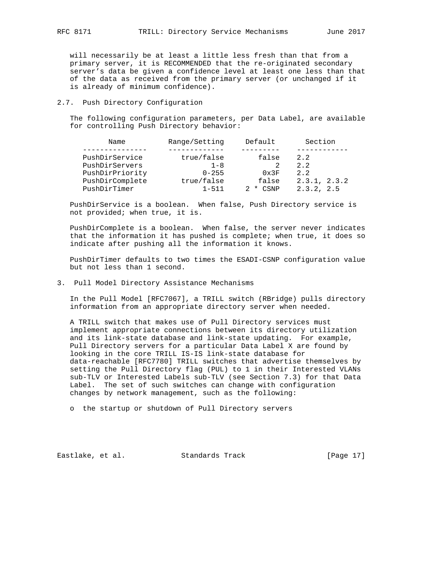will necessarily be at least a little less fresh than that from a primary server, it is RECOMMENDED that the re-originated secondary server's data be given a confidence level at least one less than that of the data as received from the primary server (or unchanged if it is already of minimum confidence).

# 2.7. Push Directory Configuration

 The following configuration parameters, per Data Label, are available for controlling Push Directory behavior:

|              | Name            | Range/Setting | Default       | Section      |
|--------------|-----------------|---------------|---------------|--------------|
|              |                 |               |               |              |
|              | PushDirService  | true/false    | false         | 2.2          |
|              | PushDirServers  | $1 - 8$       |               | 2.2          |
|              | PushDirPriority | $0 - 255$     | $0 \times 3F$ | 2.2          |
|              | PushDirComplete | true/false    | false         | 2.3.1, 2.3.2 |
| PushDirTimer |                 | $1 - 511$     | CSNP<br>*     | 2.3.2, 2.5   |

 PushDirService is a boolean. When false, Push Directory service is not provided; when true, it is.

 PushDirComplete is a boolean. When false, the server never indicates that the information it has pushed is complete; when true, it does so indicate after pushing all the information it knows.

 PushDirTimer defaults to two times the ESADI-CSNP configuration value but not less than 1 second.

3. Pull Model Directory Assistance Mechanisms

 In the Pull Model [RFC7067], a TRILL switch (RBridge) pulls directory information from an appropriate directory server when needed.

 A TRILL switch that makes use of Pull Directory services must implement appropriate connections between its directory utilization and its link-state database and link-state updating. For example, Pull Directory servers for a particular Data Label X are found by looking in the core TRILL IS-IS link-state database for data-reachable [RFC7780] TRILL switches that advertise themselves by setting the Pull Directory flag (PUL) to 1 in their Interested VLANs sub-TLV or Interested Labels sub-TLV (see Section 7.3) for that Data Label. The set of such switches can change with configuration changes by network management, such as the following:

o the startup or shutdown of Pull Directory servers

Eastlake, et al. Standards Track [Page 17]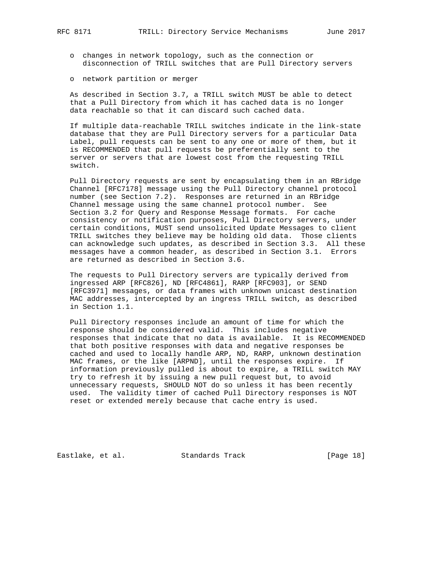- o changes in network topology, such as the connection or disconnection of TRILL switches that are Pull Directory servers
- o network partition or merger

 As described in Section 3.7, a TRILL switch MUST be able to detect that a Pull Directory from which it has cached data is no longer data reachable so that it can discard such cached data.

 If multiple data-reachable TRILL switches indicate in the link-state database that they are Pull Directory servers for a particular Data Label, pull requests can be sent to any one or more of them, but it is RECOMMENDED that pull requests be preferentially sent to the server or servers that are lowest cost from the requesting TRILL switch.

 Pull Directory requests are sent by encapsulating them in an RBridge Channel [RFC7178] message using the Pull Directory channel protocol number (see Section 7.2). Responses are returned in an RBridge Channel message using the same channel protocol number. See Section 3.2 for Query and Response Message formats. For cache consistency or notification purposes, Pull Directory servers, under certain conditions, MUST send unsolicited Update Messages to client TRILL switches they believe may be holding old data. Those clients can acknowledge such updates, as described in Section 3.3. All these messages have a common header, as described in Section 3.1. Errors are returned as described in Section 3.6.

 The requests to Pull Directory servers are typically derived from ingressed ARP [RFC826], ND [RFC4861], RARP [RFC903], or SEND [RFC3971] messages, or data frames with unknown unicast destination MAC addresses, intercepted by an ingress TRILL switch, as described in Section 1.1.

 Pull Directory responses include an amount of time for which the response should be considered valid. This includes negative responses that indicate that no data is available. It is RECOMMENDED that both positive responses with data and negative responses be cached and used to locally handle ARP, ND, RARP, unknown destination MAC frames, or the like [ARPND], until the responses expire. If information previously pulled is about to expire, a TRILL switch MAY try to refresh it by issuing a new pull request but, to avoid unnecessary requests, SHOULD NOT do so unless it has been recently used. The validity timer of cached Pull Directory responses is NOT reset or extended merely because that cache entry is used.

Eastlake, et al. Standards Track [Page 18]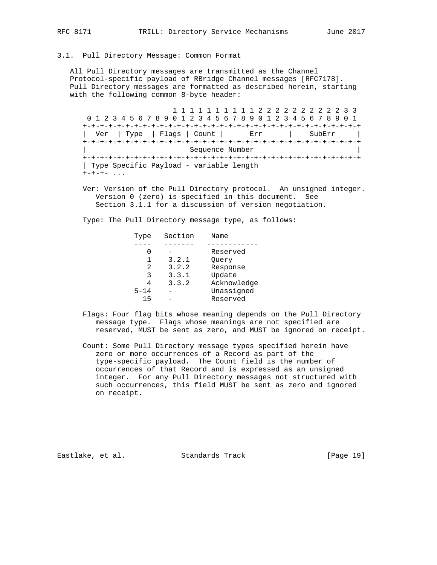#### 3.1. Pull Directory Message: Common Format

 All Pull Directory messages are transmitted as the Channel Protocol-specific payload of RBridge Channel messages [RFC7178]. Pull Directory messages are formatted as described herein, starting with the following common 8-byte header:

 1 1 1 1 1 1 1 1 1 1 2 2 2 2 2 2 2 2 2 2 3 3 0 1 2 3 4 5 6 7 8 9 0 1 2 3 4 5 6 7 8 9 0 1 2 3 4 5 6 7 8 9 0 1 +-+-+-+-+-+-+-+-+-+-+-+-+-+-+-+-+-+-+-+-+-+-+-+-+-+-+-+-+-+-+-+-+ | Ver | Type | Flags | Count | Err | SubErr | +-+-+-+-+-+-+-+-+-+-+-+-+-+-+-+-+-+-+-+-+-+-+-+-+-+-+-+-+-+-+-+-+ | Sequence Number | +-+-+-+-+-+-+-+-+-+-+-+-+-+-+-+-+-+-+-+-+-+-+-+-+-+-+-+-+-+-+-+-+ | Type Specific Payload - variable length  $+ - + - + -$  ...

 Ver: Version of the Pull Directory protocol. An unsigned integer. Version 0 (zero) is specified in this document. See Section 3.1.1 for a discussion of version negotiation.

Type: The Pull Directory message type, as follows:

| Type     | Section | Name        |
|----------|---------|-------------|
|          |         |             |
|          |         | Reserved    |
|          | 3.2.1   | Ouery       |
| 2        | 3.2.2   | Response    |
| 3        | 3.3.1   | Update      |
| 4        | 3.3.2   | Acknowledge |
| $5 - 14$ |         | Unassigned  |
| 15       |         | Reserved    |

- Flags: Four flag bits whose meaning depends on the Pull Directory message type. Flags whose meanings are not specified are reserved, MUST be sent as zero, and MUST be ignored on receipt.
- Count: Some Pull Directory message types specified herein have zero or more occurrences of a Record as part of the type-specific payload. The Count field is the number of occurrences of that Record and is expressed as an unsigned integer. For any Pull Directory messages not structured with such occurrences, this field MUST be sent as zero and ignored on receipt.

Eastlake, et al. Standards Track [Page 19]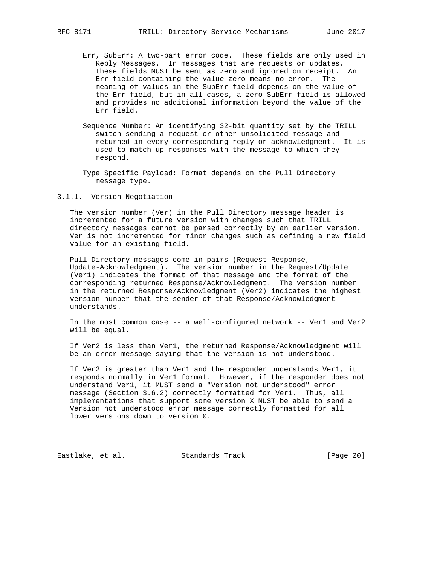- Err, SubErr: A two-part error code. These fields are only used in Reply Messages. In messages that are requests or updates, these fields MUST be sent as zero and ignored on receipt. An Err field containing the value zero means no error. The meaning of values in the SubErr field depends on the value of the Err field, but in all cases, a zero SubErr field is allowed and provides no additional information beyond the value of the Err field.
- Sequence Number: An identifying 32-bit quantity set by the TRILL switch sending a request or other unsolicited message and returned in every corresponding reply or acknowledgment. It is used to match up responses with the message to which they respond.
- Type Specific Payload: Format depends on the Pull Directory message type.

3.1.1. Version Negotiation

 The version number (Ver) in the Pull Directory message header is incremented for a future version with changes such that TRILL directory messages cannot be parsed correctly by an earlier version. Ver is not incremented for minor changes such as defining a new field value for an existing field.

 Pull Directory messages come in pairs (Request-Response, Update-Acknowledgment). The version number in the Request/Update (Ver1) indicates the format of that message and the format of the corresponding returned Response/Acknowledgment. The version number in the returned Response/Acknowledgment (Ver2) indicates the highest version number that the sender of that Response/Acknowledgment understands.

 In the most common case -- a well-configured network -- Ver1 and Ver2 will be equal.

 If Ver2 is less than Ver1, the returned Response/Acknowledgment will be an error message saying that the version is not understood.

 If Ver2 is greater than Ver1 and the responder understands Ver1, it responds normally in Ver1 format. However, if the responder does not understand Ver1, it MUST send a "Version not understood" error message (Section 3.6.2) correctly formatted for Ver1. Thus, all implementations that support some version X MUST be able to send a Version not understood error message correctly formatted for all lower versions down to version 0.

Eastlake, et al. Standards Track [Page 20]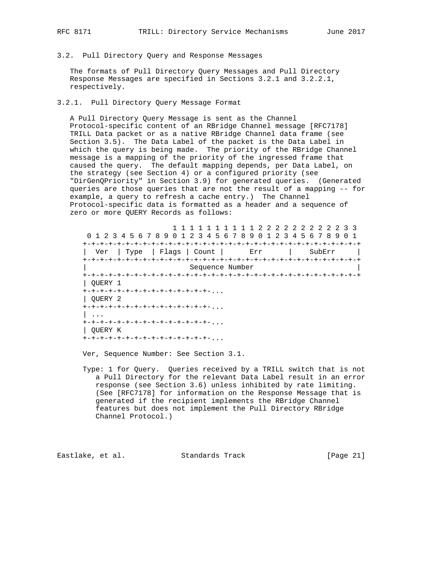# 3.2. Pull Directory Query and Response Messages

 The formats of Pull Directory Query Messages and Pull Directory Response Messages are specified in Sections 3.2.1 and 3.2.2.1, respectively.

#### 3.2.1. Pull Directory Query Message Format

 A Pull Directory Query Message is sent as the Channel Protocol-specific content of an RBridge Channel message [RFC7178] TRILL Data packet or as a native RBridge Channel data frame (see Section 3.5). The Data Label of the packet is the Data Label in which the query is being made. The priority of the RBridge Channel message is a mapping of the priority of the ingressed frame that caused the query. The default mapping depends, per Data Label, on the strategy (see Section 4) or a configured priority (see "DirGenQPriority" in Section 3.9) for generated queries. (Generated queries are those queries that are not the result of a mapping -- for example, a query to refresh a cache entry.) The Channel Protocol-specific data is formatted as a header and a sequence of zero or more QUERY Records as follows:

 1 1 1 1 1 1 1 1 1 1 2 2 2 2 2 2 2 2 2 2 3 3 0 1 2 3 4 5 6 7 8 9 0 1 2 3 4 5 6 7 8 9 0 1 2 3 4 5 6 7 8 9 0 1 +-+-+-+-+-+-+-+-+-+-+-+-+-+-+-+-+-+-+-+-+-+-+-+-+-+-+-+-+-+-+-+-+ | Ver | Type | Flags | Count | Err | SubErr | +-+-+-+-+-+-+-+-+-+-+-+-+-+-+-+-+-+-+-+-+-+-+-+-+-+-+-+-+-+-+-+-+ | Sequence Number | +-+-+-+-+-+-+-+-+-+-+-+-+-+-+-+-+-+-+-+-+-+-+-+-+-+-+-+-+-+-+-+-+ | QUERY 1 +-+-+-+-+-+-+-+-+-+-+-+-+-+-+-... | QUERY 2 +-+-+-+-+-+-+-+-+-+-+-+-+-+-+-...  $| \cdot \cdot \cdot \cdot |$  +-+-+-+-+-+-+-+-+-+-+-+-+-+-+-... | QUERY K +-+-+-+-+-+-+-+-+-+-+-+-+-+-+-...

Ver, Sequence Number: See Section 3.1.

 Type: 1 for Query. Queries received by a TRILL switch that is not a Pull Directory for the relevant Data Label result in an error response (see Section 3.6) unless inhibited by rate limiting. (See [RFC7178] for information on the Response Message that is generated if the recipient implements the RBridge Channel features but does not implement the Pull Directory RBridge Channel Protocol.)

Eastlake, et al. Standards Track [Page 21]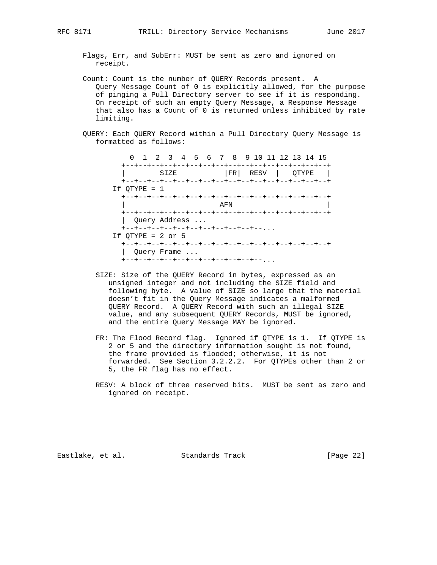Flags, Err, and SubErr: MUST be sent as zero and ignored on receipt.

- Count: Count is the number of QUERY Records present. A Query Message Count of 0 is explicitly allowed, for the purpose of pinging a Pull Directory server to see if it is responding. On receipt of such an empty Query Message, a Response Message that also has a Count of 0 is returned unless inhibited by rate limiting.
- QUERY: Each QUERY Record within a Pull Directory Query Message is formatted as follows:

 0 1 2 3 4 5 6 7 8 9 10 11 12 13 14 15 +--+--+--+--+--+--+--+--+--+--+--+--+--+--+--+--+ | SIZE |FR| RESV | QTYPE | +--+--+--+--+--+--+--+--+--+--+--+--+--+--+--+--+ If QTYPE = 1 +--+--+--+--+--+--+--+--+--+--+--+--+--+--+--+--+ | AFN | AFN | AFN | AFN | AFN | AFN | AFN | AFN | AFN | AFN | AFN | AFN | AFN | AFN | AFN | AFN | AFN | AFN | AFN | AFN | AFN | AFN | AFN | AFN | AFN | AFN | AFN | AFN | AFN | AFN | AFN | AFN | AFN | AFN | AFN | AFN | AFN +--+--+--+--+--+--+--+--+--+--+--+--+--+--+--+--+ | Query Address ... +--+--+--+--+--+--+--+--+--+--+--... If  $OTYPE = 2$  or  $5$  +--+--+--+--+--+--+--+--+--+--+--+--+--+--+--+--+ | Query Frame ... +--+--+--+--+--+--+--+--+--+--+--...

- SIZE: Size of the QUERY Record in bytes, expressed as an unsigned integer and not including the SIZE field and following byte. A value of SIZE so large that the material doesn't fit in the Query Message indicates a malformed QUERY Record. A QUERY Record with such an illegal SIZE value, and any subsequent QUERY Records, MUST be ignored, and the entire Query Message MAY be ignored.
- FR: The Flood Record flag. Ignored if QTYPE is 1. If QTYPE is 2 or 5 and the directory information sought is not found, the frame provided is flooded; otherwise, it is not forwarded. See Section 3.2.2.2. For QTYPEs other than 2 or 5, the FR flag has no effect.
- RESV: A block of three reserved bits. MUST be sent as zero and ignored on receipt.

Eastlake, et al. Standards Track [Page 22]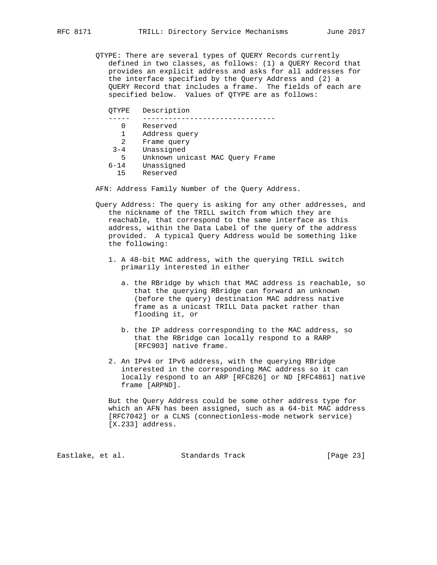- QTYPE: There are several types of QUERY Records currently defined in two classes, as follows: (1) a QUERY Record that provides an explicit address and asks for all addresses for the interface specified by the Query Address and (2) a QUERY Record that includes a frame. The fields of each are specified below. Values of QTYPE are as follows:
	- QTYPE Description
	- ----- -------------------------------
		- 0 Reserved
		- 1 Address query
	- 2 Frame query
	- 3-4 Unassigned
	- 5 Unknown unicast MAC Query Frame
	- 6-14 Unassigned
	- Reserved

AFN: Address Family Number of the Query Address.

- Query Address: The query is asking for any other addresses, and the nickname of the TRILL switch from which they are reachable, that correspond to the same interface as this address, within the Data Label of the query of the address provided. A typical Query Address would be something like the following:
	- 1. A 48-bit MAC address, with the querying TRILL switch primarily interested in either
		- a. the RBridge by which that MAC address is reachable, so that the querying RBridge can forward an unknown (before the query) destination MAC address native frame as a unicast TRILL Data packet rather than flooding it, or
		- b. the IP address corresponding to the MAC address, so that the RBridge can locally respond to a RARP [RFC903] native frame.
	- 2. An IPv4 or IPv6 address, with the querying RBridge interested in the corresponding MAC address so it can locally respond to an ARP [RFC826] or ND [RFC4861] native frame [ARPND].

 But the Query Address could be some other address type for which an AFN has been assigned, such as a 64-bit MAC address [RFC7042] or a CLNS (connectionless-mode network service) [X.233] address.

Eastlake, et al. Standards Track [Page 23]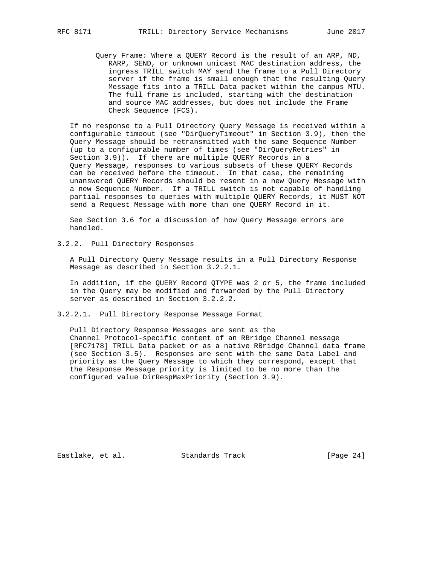Query Frame: Where a QUERY Record is the result of an ARP, ND, RARP, SEND, or unknown unicast MAC destination address, the ingress TRILL switch MAY send the frame to a Pull Directory server if the frame is small enough that the resulting Query Message fits into a TRILL Data packet within the campus MTU. The full frame is included, starting with the destination and source MAC addresses, but does not include the Frame Check Sequence (FCS).

 If no response to a Pull Directory Query Message is received within a configurable timeout (see "DirQueryTimeout" in Section 3.9), then the Query Message should be retransmitted with the same Sequence Number (up to a configurable number of times (see "DirQueryRetries" in Section 3.9)). If there are multiple QUERY Records in a Query Message, responses to various subsets of these QUERY Records can be received before the timeout. In that case, the remaining unanswered QUERY Records should be resent in a new Query Message with a new Sequence Number. If a TRILL switch is not capable of handling partial responses to queries with multiple QUERY Records, it MUST NOT send a Request Message with more than one QUERY Record in it.

 See Section 3.6 for a discussion of how Query Message errors are handled.

3.2.2. Pull Directory Responses

 A Pull Directory Query Message results in a Pull Directory Response Message as described in Section 3.2.2.1.

 In addition, if the QUERY Record QTYPE was 2 or 5, the frame included in the Query may be modified and forwarded by the Pull Directory server as described in Section 3.2.2.2.

3.2.2.1. Pull Directory Response Message Format

 Pull Directory Response Messages are sent as the Channel Protocol-specific content of an RBridge Channel message [RFC7178] TRILL Data packet or as a native RBridge Channel data frame (see Section 3.5). Responses are sent with the same Data Label and priority as the Query Message to which they correspond, except that the Response Message priority is limited to be no more than the configured value DirRespMaxPriority (Section 3.9).

Eastlake, et al. Standards Track [Page 24]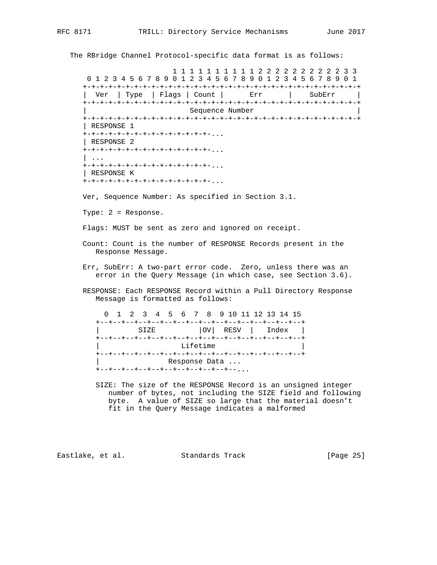The RBridge Channel Protocol-specific data format is as follows:

 1 1 1 1 1 1 1 1 1 1 2 2 2 2 2 2 2 2 2 2 3 3 0 1 2 3 4 5 6 7 8 9 0 1 2 3 4 5 6 7 8 9 0 1 2 3 4 5 6 7 8 9 0 1 +-+-+-+-+-+-+-+-+-+-+-+-+-+-+-+-+-+-+-+-+-+-+-+-+-+-+-+-+-+-+-+-+ | Ver | Type | Flags | Count | Err | SubErr | +-+-+-+-+-+-+-+-+-+-+-+-+-+-+-+-+-+-+-+-+-+-+-+-+-+-+-+-+-+-+-+-+ Sequence Number +-+-+-+-+-+-+-+-+-+-+-+-+-+-+-+-+-+-+-+-+-+-+-+-+-+-+-+-+-+-+-+-+ | RESPONSE 1 +-+-+-+-+-+-+-+-+-+-+-+-+-+-+-... | RESPONSE 2 +-+-+-+-+-+-+-+-+-+-+-+-+-+-+-... | ... +-+-+-+-+-+-+-+-+-+-+-+-+-+-+-... | RESPONSE K +-+-+-+-+-+-+-+-+-+-+-+-+-+-+-...

Ver, Sequence Number: As specified in Section 3.1.

Type: 2 = Response.

Flags: MUST be sent as zero and ignored on receipt.

- Count: Count is the number of RESPONSE Records present in the Response Message.
- Err, SubErr: A two-part error code. Zero, unless there was an error in the Query Message (in which case, see Section 3.6).
- RESPONSE: Each RESPONSE Record within a Pull Directory Response Message is formatted as follows:

|  |  |  |                 | 0 1 2 3 4 5 6 7 8 9 10 11 12 13 14 15                      |  |  |  |                           |
|--|--|--|-----------------|------------------------------------------------------------|--|--|--|---------------------------|
|  |  |  | $\texttt{SIZE}$ |                                                            |  |  |  | $ OV $ RESV $ $ Index $ $ |
|  |  |  |                 | Lifetime                                                   |  |  |  |                           |
|  |  |  |                 | Response Data<br>+--+--+--+--+--+--+--+--+--+--+--+--, , , |  |  |  |                           |

 SIZE: The size of the RESPONSE Record is an unsigned integer number of bytes, not including the SIZE field and following byte. A value of SIZE so large that the material doesn't fit in the Query Message indicates a malformed

Eastlake, et al. Standards Track [Page 25]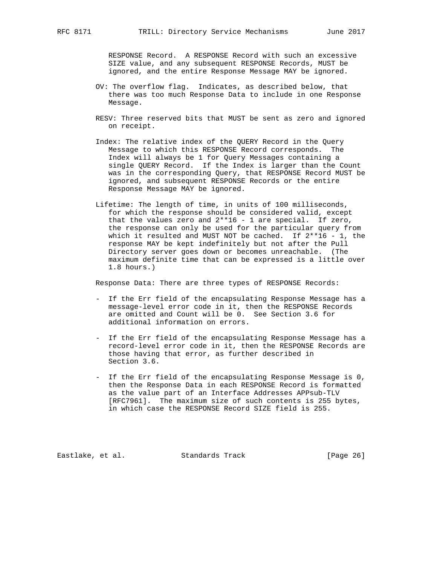RESPONSE Record. A RESPONSE Record with such an excessive SIZE value, and any subsequent RESPONSE Records, MUST be ignored, and the entire Response Message MAY be ignored.

- OV: The overflow flag. Indicates, as described below, that there was too much Response Data to include in one Response Message.
- RESV: Three reserved bits that MUST be sent as zero and ignored on receipt.
- Index: The relative index of the QUERY Record in the Query Message to which this RESPONSE Record corresponds. The Index will always be 1 for Query Messages containing a single QUERY Record. If the Index is larger than the Count was in the corresponding Query, that RESPONSE Record MUST be ignored, and subsequent RESPONSE Records or the entire Response Message MAY be ignored.
- Lifetime: The length of time, in units of 100 milliseconds, for which the response should be considered valid, except that the values zero and 2\*\*16 - 1 are special. If zero, the response can only be used for the particular query from which it resulted and MUST NOT be cached. If 2\*\*16 - 1, the response MAY be kept indefinitely but not after the Pull Directory server goes down or becomes unreachable. (The maximum definite time that can be expressed is a little over 1.8 hours.)

Response Data: There are three types of RESPONSE Records:

- If the Err field of the encapsulating Response Message has a message-level error code in it, then the RESPONSE Records are omitted and Count will be 0. See Section 3.6 for additional information on errors.
- If the Err field of the encapsulating Response Message has a record-level error code in it, then the RESPONSE Records are those having that error, as further described in Section 3.6.
- If the Err field of the encapsulating Response Message is 0, then the Response Data in each RESPONSE Record is formatted as the value part of an Interface Addresses APPsub-TLV [RFC7961]. The maximum size of such contents is 255 bytes, in which case the RESPONSE Record SIZE field is 255.

Eastlake, et al. Standards Track [Page 26]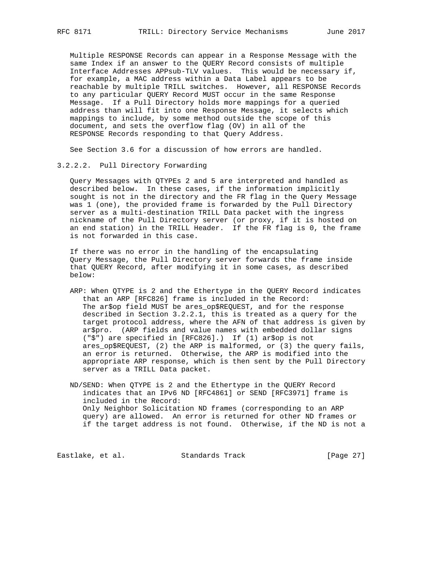Multiple RESPONSE Records can appear in a Response Message with the same Index if an answer to the QUERY Record consists of multiple Interface Addresses APPsub-TLV values. This would be necessary if, for example, a MAC address within a Data Label appears to be reachable by multiple TRILL switches. However, all RESPONSE Records to any particular QUERY Record MUST occur in the same Response Message. If a Pull Directory holds more mappings for a queried address than will fit into one Response Message, it selects which mappings to include, by some method outside the scope of this document, and sets the overflow flag (OV) in all of the RESPONSE Records responding to that Query Address.

See Section 3.6 for a discussion of how errors are handled.

#### 3.2.2.2. Pull Directory Forwarding

 Query Messages with QTYPEs 2 and 5 are interpreted and handled as described below. In these cases, if the information implicitly sought is not in the directory and the FR flag in the Query Message was 1 (one), the provided frame is forwarded by the Pull Directory server as a multi-destination TRILL Data packet with the ingress nickname of the Pull Directory server (or proxy, if it is hosted on an end station) in the TRILL Header. If the FR flag is 0, the frame is not forwarded in this case.

 If there was no error in the handling of the encapsulating Query Message, the Pull Directory server forwards the frame inside that QUERY Record, after modifying it in some cases, as described below:

 ARP: When QTYPE is 2 and the Ethertype in the QUERY Record indicates that an ARP [RFC826] frame is included in the Record: The ar\$op field MUST be ares\_op\$REQUEST, and for the response described in Section 3.2.2.1, this is treated as a query for the target protocol address, where the AFN of that address is given by ar\$pro. (ARP fields and value names with embedded dollar signs ("\$") are specified in [RFC826].) If (1) ar\$op is not ares\_op\$REQUEST, (2) the ARP is malformed, or (3) the query fails, an error is returned. Otherwise, the ARP is modified into the appropriate ARP response, which is then sent by the Pull Directory server as a TRILL Data packet.

 ND/SEND: When QTYPE is 2 and the Ethertype in the QUERY Record indicates that an IPv6 ND [RFC4861] or SEND [RFC3971] frame is included in the Record: Only Neighbor Solicitation ND frames (corresponding to an ARP query) are allowed. An error is returned for other ND frames or if the target address is not found. Otherwise, if the ND is not a

Eastlake, et al. Standards Track [Page 27]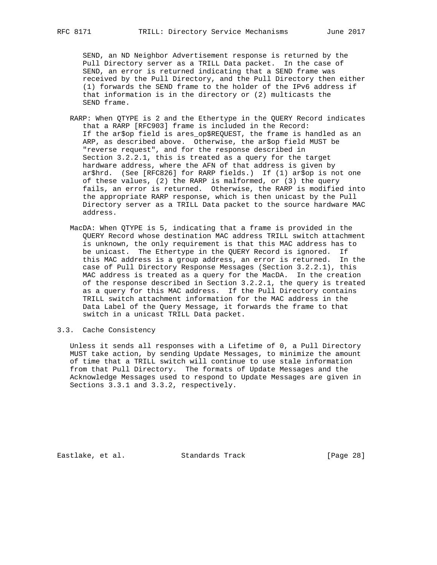SEND, an ND Neighbor Advertisement response is returned by the Pull Directory server as a TRILL Data packet. In the case of SEND, an error is returned indicating that a SEND frame was received by the Pull Directory, and the Pull Directory then either (1) forwards the SEND frame to the holder of the IPv6 address if that information is in the directory or (2) multicasts the SEND frame.

- RARP: When QTYPE is 2 and the Ethertype in the QUERY Record indicates that a RARP [RFC903] frame is included in the Record: If the ar\$op field is ares\_op\$REQUEST, the frame is handled as an ARP, as described above. Otherwise, the ar\$op field MUST be "reverse request", and for the response described in Section 3.2.2.1, this is treated as a query for the target hardware address, where the AFN of that address is given by ar\$hrd. (See [RFC826] for RARP fields.) If (1) ar\$op is not one of these values, (2) the RARP is malformed, or (3) the query fails, an error is returned. Otherwise, the RARP is modified into the appropriate RARP response, which is then unicast by the Pull Directory server as a TRILL Data packet to the source hardware MAC address.
- MacDA: When QTYPE is 5, indicating that a frame is provided in the QUERY Record whose destination MAC address TRILL switch attachment is unknown, the only requirement is that this MAC address has to be unicast. The Ethertype in the QUERY Record is ignored. If this MAC address is a group address, an error is returned. In the case of Pull Directory Response Messages (Section 3.2.2.1), this MAC address is treated as a query for the MacDA. In the creation of the response described in Section 3.2.2.1, the query is treated as a query for this MAC address. If the Pull Directory contains TRILL switch attachment information for the MAC address in the Data Label of the Query Message, it forwards the frame to that switch in a unicast TRILL Data packet.

#### 3.3. Cache Consistency

 Unless it sends all responses with a Lifetime of 0, a Pull Directory MUST take action, by sending Update Messages, to minimize the amount of time that a TRILL switch will continue to use stale information from that Pull Directory. The formats of Update Messages and the Acknowledge Messages used to respond to Update Messages are given in Sections 3.3.1 and 3.3.2, respectively.

Eastlake, et al. Standards Track [Page 28]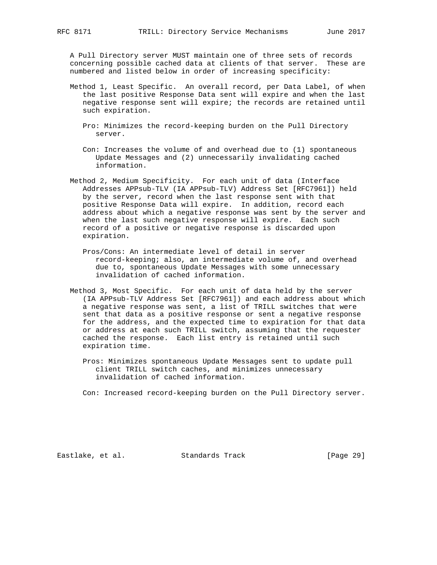A Pull Directory server MUST maintain one of three sets of records concerning possible cached data at clients of that server. These are numbered and listed below in order of increasing specificity:

- Method 1, Least Specific. An overall record, per Data Label, of when the last positive Response Data sent will expire and when the last negative response sent will expire; the records are retained until such expiration.
	- Pro: Minimizes the record-keeping burden on the Pull Directory server.
	- Con: Increases the volume of and overhead due to (1) spontaneous Update Messages and (2) unnecessarily invalidating cached information.
- Method 2, Medium Specificity. For each unit of data (Interface Addresses APPsub-TLV (IA APPsub-TLV) Address Set [RFC7961]) held by the server, record when the last response sent with that positive Response Data will expire. In addition, record each address about which a negative response was sent by the server and when the last such negative response will expire. Each such record of a positive or negative response is discarded upon expiration.
	- Pros/Cons: An intermediate level of detail in server record-keeping; also, an intermediate volume of, and overhead due to, spontaneous Update Messages with some unnecessary invalidation of cached information.
- Method 3, Most Specific. For each unit of data held by the server (IA APPsub-TLV Address Set [RFC7961]) and each address about which a negative response was sent, a list of TRILL switches that were sent that data as a positive response or sent a negative response for the address, and the expected time to expiration for that data or address at each such TRILL switch, assuming that the requester cached the response. Each list entry is retained until such expiration time.
	- Pros: Minimizes spontaneous Update Messages sent to update pull client TRILL switch caches, and minimizes unnecessary invalidation of cached information.

Con: Increased record-keeping burden on the Pull Directory server.

Eastlake, et al. Standards Track [Page 29]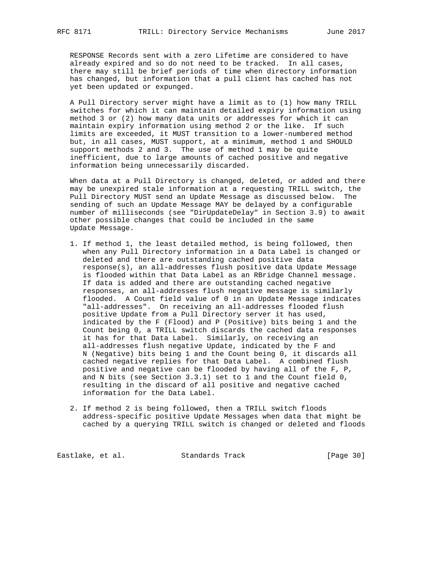RESPONSE Records sent with a zero Lifetime are considered to have already expired and so do not need to be tracked. In all cases, there may still be brief periods of time when directory information has changed, but information that a pull client has cached has not yet been updated or expunged.

 A Pull Directory server might have a limit as to (1) how many TRILL switches for which it can maintain detailed expiry information using method 3 or (2) how many data units or addresses for which it can maintain expiry information using method 2 or the like. If such limits are exceeded, it MUST transition to a lower-numbered method but, in all cases, MUST support, at a minimum, method 1 and SHOULD support methods 2 and 3. The use of method 1 may be quite inefficient, due to large amounts of cached positive and negative information being unnecessarily discarded.

 When data at a Pull Directory is changed, deleted, or added and there may be unexpired stale information at a requesting TRILL switch, the Pull Directory MUST send an Update Message as discussed below. The sending of such an Update Message MAY be delayed by a configurable number of milliseconds (see "DirUpdateDelay" in Section 3.9) to await other possible changes that could be included in the same Update Message.

- 1. If method 1, the least detailed method, is being followed, then when any Pull Directory information in a Data Label is changed or deleted and there are outstanding cached positive data response(s), an all-addresses flush positive data Update Message is flooded within that Data Label as an RBridge Channel message. If data is added and there are outstanding cached negative responses, an all-addresses flush negative message is similarly flooded. A Count field value of 0 in an Update Message indicates "all-addresses". On receiving an all-addresses flooded flush positive Update from a Pull Directory server it has used, indicated by the F (Flood) and P (Positive) bits being 1 and the Count being 0, a TRILL switch discards the cached data responses it has for that Data Label. Similarly, on receiving an all-addresses flush negative Update, indicated by the F and N (Negative) bits being 1 and the Count being 0, it discards all cached negative replies for that Data Label. A combined flush positive and negative can be flooded by having all of the F, P, and N bits (see Section 3.3.1) set to 1 and the Count field 0, resulting in the discard of all positive and negative cached information for the Data Label.
- 2. If method 2 is being followed, then a TRILL switch floods address-specific positive Update Messages when data that might be cached by a querying TRILL switch is changed or deleted and floods

Eastlake, et al. Standards Track [Page 30]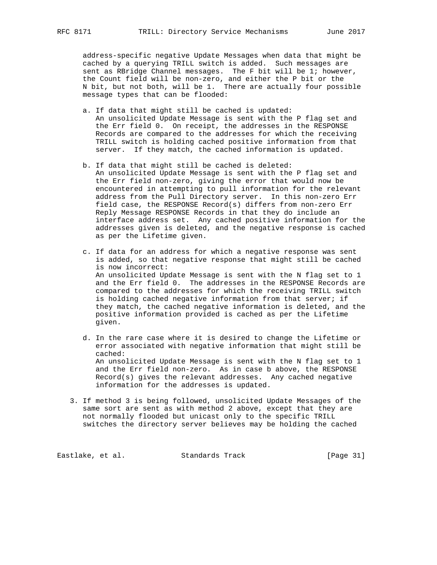address-specific negative Update Messages when data that might be cached by a querying TRILL switch is added. Such messages are sent as RBridge Channel messages. The F bit will be 1; however, the Count field will be non-zero, and either the P bit or the N bit, but not both, will be 1. There are actually four possible message types that can be flooded:

- a. If data that might still be cached is updated: An unsolicited Update Message is sent with the P flag set and the Err field 0. On receipt, the addresses in the RESPONSE Records are compared to the addresses for which the receiving TRILL switch is holding cached positive information from that server. If they match, the cached information is updated.
- b. If data that might still be cached is deleted: An unsolicited Update Message is sent with the P flag set and the Err field non-zero, giving the error that would now be encountered in attempting to pull information for the relevant address from the Pull Directory server. In this non-zero Err field case, the RESPONSE Record(s) differs from non-zero Err Reply Message RESPONSE Records in that they do include an interface address set. Any cached positive information for the addresses given is deleted, and the negative response is cached as per the Lifetime given.
- c. If data for an address for which a negative response was sent is added, so that negative response that might still be cached is now incorrect: An unsolicited Update Message is sent with the N flag set to 1 and the Err field 0. The addresses in the RESPONSE Records are compared to the addresses for which the receiving TRILL switch is holding cached negative information from that server; if they match, the cached negative information is deleted, and the positive information provided is cached as per the Lifetime given.
- d. In the rare case where it is desired to change the Lifetime or error associated with negative information that might still be cached: An unsolicited Update Message is sent with the N flag set to 1 and the Err field non-zero. As in case b above, the RESPONSE Record(s) gives the relevant addresses. Any cached negative information for the addresses is updated.
- 3. If method 3 is being followed, unsolicited Update Messages of the same sort are sent as with method 2 above, except that they are not normally flooded but unicast only to the specific TRILL switches the directory server believes may be holding the cached

Eastlake, et al. Standards Track [Page 31]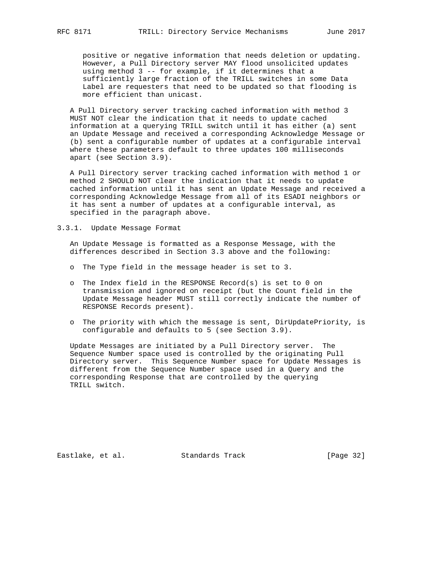positive or negative information that needs deletion or updating. However, a Pull Directory server MAY flood unsolicited updates using method 3 -- for example, if it determines that a sufficiently large fraction of the TRILL switches in some Data Label are requesters that need to be updated so that flooding is more efficient than unicast.

 A Pull Directory server tracking cached information with method 3 MUST NOT clear the indication that it needs to update cached information at a querying TRILL switch until it has either (a) sent an Update Message and received a corresponding Acknowledge Message or (b) sent a configurable number of updates at a configurable interval where these parameters default to three updates 100 milliseconds apart (see Section 3.9).

 A Pull Directory server tracking cached information with method 1 or method 2 SHOULD NOT clear the indication that it needs to update cached information until it has sent an Update Message and received a corresponding Acknowledge Message from all of its ESADI neighbors or it has sent a number of updates at a configurable interval, as specified in the paragraph above.

3.3.1. Update Message Format

 An Update Message is formatted as a Response Message, with the differences described in Section 3.3 above and the following:

- o The Type field in the message header is set to 3.
- o The Index field in the RESPONSE Record(s) is set to 0 on transmission and ignored on receipt (but the Count field in the Update Message header MUST still correctly indicate the number of RESPONSE Records present).
- o The priority with which the message is sent, DirUpdatePriority, is configurable and defaults to 5 (see Section 3.9).

 Update Messages are initiated by a Pull Directory server. The Sequence Number space used is controlled by the originating Pull Directory server. This Sequence Number space for Update Messages is different from the Sequence Number space used in a Query and the corresponding Response that are controlled by the querying TRILL switch.

Eastlake, et al. Standards Track [Page 32]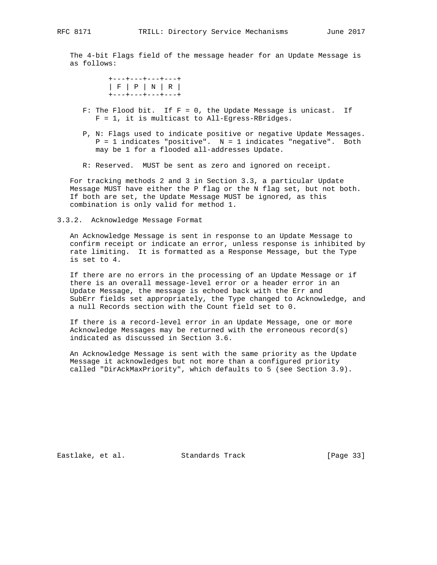The 4-bit Flags field of the message header for an Update Message is as follows:

> +---+---+---+---+ | F | P | N | R | +---+---+---+---+

- F: The Flood bit. If  $F = 0$ , the Update Message is unicast. If F = 1, it is multicast to All-Egress-RBridges.
- P, N: Flags used to indicate positive or negative Update Messages. P = 1 indicates "positive". N = 1 indicates "negative". Both may be 1 for a flooded all-addresses Update.
- R: Reserved. MUST be sent as zero and ignored on receipt.

 For tracking methods 2 and 3 in Section 3.3, a particular Update Message MUST have either the P flag or the N flag set, but not both. If both are set, the Update Message MUST be ignored, as this combination is only valid for method 1.

#### 3.3.2. Acknowledge Message Format

 An Acknowledge Message is sent in response to an Update Message to confirm receipt or indicate an error, unless response is inhibited by rate limiting. It is formatted as a Response Message, but the Type is set to 4.

 If there are no errors in the processing of an Update Message or if there is an overall message-level error or a header error in an Update Message, the message is echoed back with the Err and SubErr fields set appropriately, the Type changed to Acknowledge, and a null Records section with the Count field set to 0.

 If there is a record-level error in an Update Message, one or more Acknowledge Messages may be returned with the erroneous record(s) indicated as discussed in Section 3.6.

 An Acknowledge Message is sent with the same priority as the Update Message it acknowledges but not more than a configured priority called "DirAckMaxPriority", which defaults to 5 (see Section 3.9).

Eastlake, et al. Standards Track [Page 33]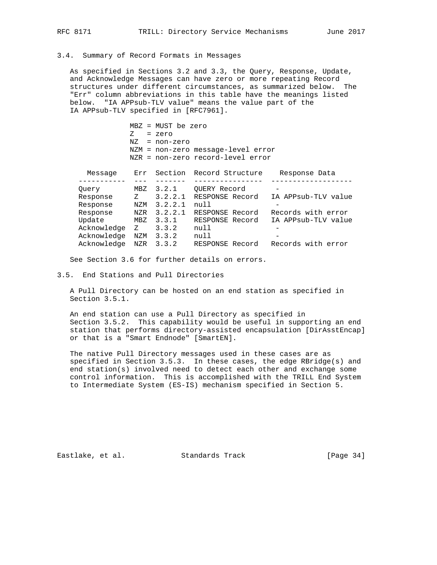# 3.4. Summary of Record Formats in Messages

 As specified in Sections 3.2 and 3.3, the Query, Response, Update, and Acknowledge Messages can have zero or more repeating Record structures under different circumstances, as summarized below. The "Err" column abbreviations in this table have the meanings listed below. "IA APPsub-TLV value" means the value part of the IA APPsub-TLV specified in [RFC7961].

> MBZ = MUST be zero Z = zero NZ = non-zero NZM = non-zero message-level error NZR = non-zero record-level error

| Message     | Err | Section | Record Structure | Response Data       |
|-------------|-----|---------|------------------|---------------------|
|             |     |         |                  |                     |
| Ouery       | MBZ | 3.2.1   | OUERY Record     |                     |
| Response    | Z.  | 3.2.2.1 | RESPONSE Record  | IA APPsub-TLV value |
| Response    | NZM | 3.2.2.1 | null             |                     |
| Response    | NZR | 3.2.2.1 | RESPONSE Record  | Records with error  |
| Update      | MBZ | 3.3.1   | RESPONSE Record  | IA APPsub-TLV value |
| Acknowledge | Z   | 3.3.2   | null             |                     |
| Acknowledge | NZM | 3.3.2   | null             |                     |
| Acknowledge | NZR | 3.3.2   | RESPONSE Record  | Records with error  |
|             |     |         |                  |                     |

See Section 3.6 for further details on errors.

3.5. End Stations and Pull Directories

 A Pull Directory can be hosted on an end station as specified in Section 3.5.1.

 An end station can use a Pull Directory as specified in Section 3.5.2. This capability would be useful in supporting an end station that performs directory-assisted encapsulation [DirAsstEncap] or that is a "Smart Endnode" [SmartEN].

 The native Pull Directory messages used in these cases are as specified in Section 3.5.3. In these cases, the edge RBridge(s) and end station(s) involved need to detect each other and exchange some control information. This is accomplished with the TRILL End System to Intermediate System (ES-IS) mechanism specified in Section 5.

Eastlake, et al. Standards Track [Page 34]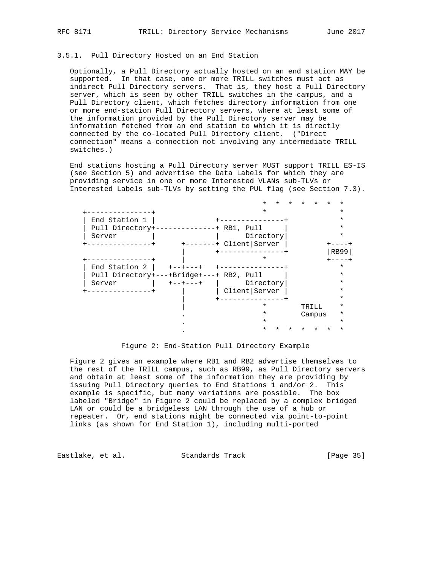#### 3.5.1. Pull Directory Hosted on an End Station

 Optionally, a Pull Directory actually hosted on an end station MAY be supported. In that case, one or more TRILL switches must act as indirect Pull Directory servers. That is, they host a Pull Directory server, which is seen by other TRILL switches in the campus, and a Pull Directory client, which fetches directory information from one or more end-station Pull Directory servers, where at least some of the information provided by the Pull Directory server may be information fetched from an end station to which it is directly connected by the co-located Pull Directory client. ("Direct connection" means a connection not involving any intermediate TRILL switches.)

 End stations hosting a Pull Directory server MUST support TRILL ES-IS (see Section 5) and advertise the Data Labels for which they are providing service in one or more Interested VLANs sub-TLVs or Interested Labels sub-TLVs by setting the PUL flag (see Section 7.3).

|                                                   |                    |                        | *        |  |        |      |  |
|---------------------------------------------------|--------------------|------------------------|----------|--|--------|------|--|
|                                                   |                    |                        | $^\star$ |  |        |      |  |
| End Station 1                                     |                    |                        |          |  |        |      |  |
| Pull Directory+-                                  | $-----++RB1, Pul1$ |                        |          |  |        |      |  |
| Server                                            |                    | Directory              |          |  |        |      |  |
|                                                   |                    | -------+ Client Server |          |  |        |      |  |
|                                                   |                    |                        |          |  |        | RB99 |  |
|                                                   |                    |                        | $\star$  |  |        |      |  |
| End Station 2                                     |                    |                        |          |  |        |      |  |
| Pull Directory + - - + Bridge + - - - + RB2, Pull |                    |                        |          |  |        |      |  |
| Server                                            | $+ - - + - - - +$  | Directory              |          |  |        |      |  |
|                                                   |                    | Client Server          |          |  |        |      |  |
|                                                   |                    |                        |          |  |        |      |  |
|                                                   |                    |                        | $^\star$ |  | TRILL  | *    |  |
|                                                   |                    |                        | ¥        |  | Campus | *    |  |
|                                                   |                    |                        | ¥        |  |        |      |  |
|                                                   |                    |                        |          |  |        |      |  |

Figure 2: End-Station Pull Directory Example

 Figure 2 gives an example where RB1 and RB2 advertise themselves to the rest of the TRILL campus, such as RB99, as Pull Directory servers and obtain at least some of the information they are providing by issuing Pull Directory queries to End Stations 1 and/or 2. This example is specific, but many variations are possible. The box labeled "Bridge" in Figure 2 could be replaced by a complex bridged LAN or could be a bridgeless LAN through the use of a hub or repeater. Or, end stations might be connected via point-to-point links (as shown for End Station 1), including multi-ported

Eastlake, et al. Standards Track [Page 35]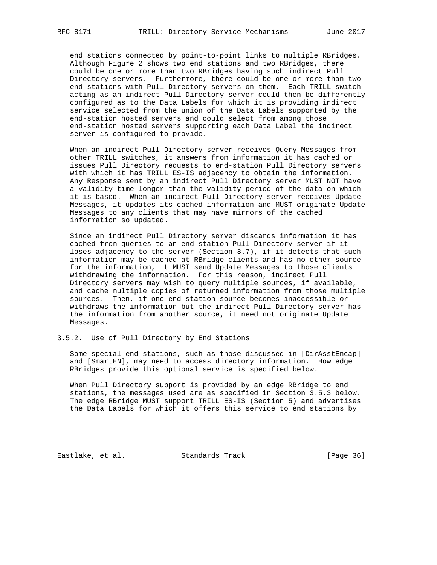end stations connected by point-to-point links to multiple RBridges. Although Figure 2 shows two end stations and two RBridges, there could be one or more than two RBridges having such indirect Pull Directory servers. Furthermore, there could be one or more than two end stations with Pull Directory servers on them. Each TRILL switch acting as an indirect Pull Directory server could then be differently configured as to the Data Labels for which it is providing indirect service selected from the union of the Data Labels supported by the end-station hosted servers and could select from among those end-station hosted servers supporting each Data Label the indirect server is configured to provide.

 When an indirect Pull Directory server receives Query Messages from other TRILL switches, it answers from information it has cached or issues Pull Directory requests to end-station Pull Directory servers with which it has TRILL ES-IS adjacency to obtain the information. Any Response sent by an indirect Pull Directory server MUST NOT have a validity time longer than the validity period of the data on which it is based. When an indirect Pull Directory server receives Update Messages, it updates its cached information and MUST originate Update Messages to any clients that may have mirrors of the cached information so updated.

 Since an indirect Pull Directory server discards information it has cached from queries to an end-station Pull Directory server if it loses adjacency to the server (Section 3.7), if it detects that such information may be cached at RBridge clients and has no other source for the information, it MUST send Update Messages to those clients withdrawing the information. For this reason, indirect Pull Directory servers may wish to query multiple sources, if available, and cache multiple copies of returned information from those multiple sources. Then, if one end-station source becomes inaccessible or withdraws the information but the indirect Pull Directory server has the information from another source, it need not originate Update Messages.

3.5.2. Use of Pull Directory by End Stations

 Some special end stations, such as those discussed in [DirAsstEncap] and [SmartEN], may need to access directory information. How edge RBridges provide this optional service is specified below.

 When Pull Directory support is provided by an edge RBridge to end stations, the messages used are as specified in Section 3.5.3 below. The edge RBridge MUST support TRILL ES-IS (Section 5) and advertises the Data Labels for which it offers this service to end stations by

Eastlake, et al. Standards Track [Page 36]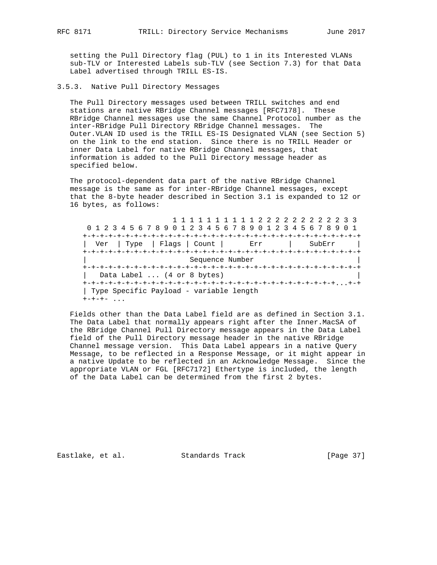setting the Pull Directory flag (PUL) to 1 in its Interested VLANs sub-TLV or Interested Labels sub-TLV (see Section 7.3) for that Data Label advertised through TRILL ES-IS.

#### 3.5.3. Native Pull Directory Messages

 The Pull Directory messages used between TRILL switches and end stations are native RBridge Channel messages [RFC7178]. These RBridge Channel messages use the same Channel Protocol number as the inter-RBridge Pull Directory RBridge Channel messages. The Outer.VLAN ID used is the TRILL ES-IS Designated VLAN (see Section 5) on the link to the end station. Since there is no TRILL Header or inner Data Label for native RBridge Channel messages, that information is added to the Pull Directory message header as specified below.

 The protocol-dependent data part of the native RBridge Channel message is the same as for inter-RBridge Channel messages, except that the 8-byte header described in Section 3.1 is expanded to 12 or 16 bytes, as follows:

 1 1 1 1 1 1 1 1 1 1 2 2 2 2 2 2 2 2 2 2 3 3 0 1 2 3 4 5 6 7 8 9 0 1 2 3 4 5 6 7 8 9 0 1 2 3 4 5 6 7 8 9 0 1 +-+-+-+-+-+-+-+-+-+-+-+-+-+-+-+-+-+-+-+-+-+-+-+-+-+-+-+-+-+-+-+-+ Ver | Type | Flags | Count | Err | SubErr | +-+-+-+-+-+-+-+-+-+-+-+-+-+-+-+-+-+-+-+-+-+-+-+-+-+-+-+-+-+-+-+-+ Sequence Number +-+-+-+-+-+-+-+-+-+-+-+-+-+-+-+-+-+-+-+-+-+-+-+-+-+-+-+-+-+-+-+-+ | Data Label ... (4 or 8 bytes) +-+-+-+-+-+-+-+-+-+-+-+-+-+-+-+-+-+-+-+-+-+-+-+-+-+-+-+-+-+...+-+ | Type Specific Payload - variable length  $+ - + - + -$  ...

 Fields other than the Data Label field are as defined in Section 3.1. The Data Label that normally appears right after the Inner.MacSA of the RBridge Channel Pull Directory message appears in the Data Label field of the Pull Directory message header in the native RBridge Channel message version. This Data Label appears in a native Query Message, to be reflected in a Response Message, or it might appear in a native Update to be reflected in an Acknowledge Message. Since the appropriate VLAN or FGL [RFC7172] Ethertype is included, the length of the Data Label can be determined from the first 2 bytes.

Eastlake, et al. Standards Track [Page 37]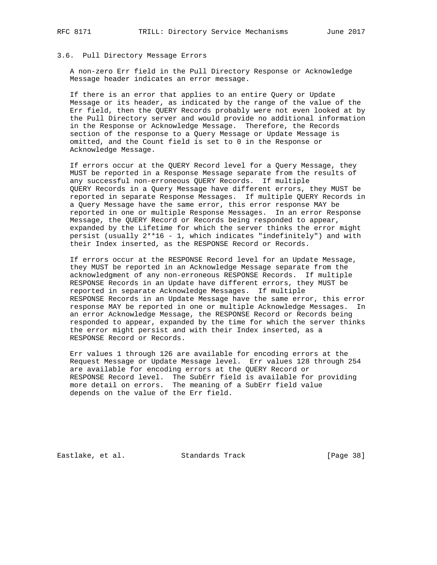#### 3.6. Pull Directory Message Errors

 A non-zero Err field in the Pull Directory Response or Acknowledge Message header indicates an error message.

 If there is an error that applies to an entire Query or Update Message or its header, as indicated by the range of the value of the Err field, then the QUERY Records probably were not even looked at by the Pull Directory server and would provide no additional information in the Response or Acknowledge Message. Therefore, the Records section of the response to a Query Message or Update Message is omitted, and the Count field is set to 0 in the Response or Acknowledge Message.

 If errors occur at the QUERY Record level for a Query Message, they MUST be reported in a Response Message separate from the results of any successful non-erroneous QUERY Records. If multiple QUERY Records in a Query Message have different errors, they MUST be reported in separate Response Messages. If multiple QUERY Records in a Query Message have the same error, this error response MAY be reported in one or multiple Response Messages. In an error Response Message, the QUERY Record or Records being responded to appear, expanded by the Lifetime for which the server thinks the error might persist (usually  $2^{**}16 - 1$ , which indicates "indefinitely") and with their Index inserted, as the RESPONSE Record or Records.

 If errors occur at the RESPONSE Record level for an Update Message, they MUST be reported in an Acknowledge Message separate from the acknowledgment of any non-erroneous RESPONSE Records. If multiple RESPONSE Records in an Update have different errors, they MUST be reported in separate Acknowledge Messages. If multiple RESPONSE Records in an Update Message have the same error, this error response MAY be reported in one or multiple Acknowledge Messages. In an error Acknowledge Message, the RESPONSE Record or Records being responded to appear, expanded by the time for which the server thinks the error might persist and with their Index inserted, as a RESPONSE Record or Records.

 Err values 1 through 126 are available for encoding errors at the Request Message or Update Message level. Err values 128 through 254 are available for encoding errors at the QUERY Record or RESPONSE Record level. The SubErr field is available for providing more detail on errors. The meaning of a SubErr field value depends on the value of the Err field.

Eastlake, et al. Standards Track [Page 38]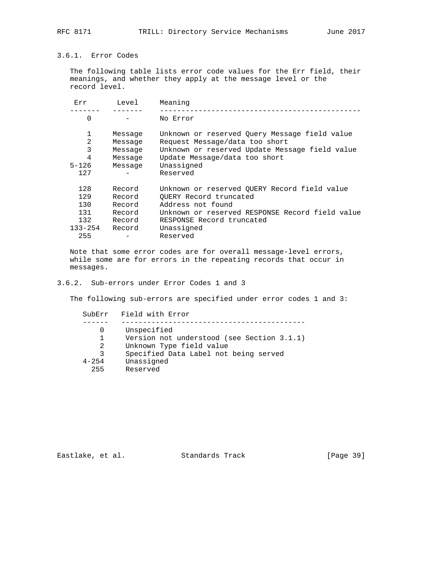# 3.6.1. Error Codes

 The following table lists error code values for the Err field, their meanings, and whether they apply at the message level or the record level.

| Err            | Level   | Meaning                                         |
|----------------|---------|-------------------------------------------------|
| 0              |         | No Error                                        |
| 1              | Message | Unknown or reserved Query Message field value   |
| $\overline{2}$ | Message | Request Message/data too short                  |
| 3              | Message | Unknown or reserved Update Message field value  |
| 4              | Message | Update Message/data too short                   |
| $5 - 126$      | Message | Unassigned                                      |
| 127            |         | Reserved                                        |
| 128            | Record  | Unknown or reserved OUERY Record field value    |
| 129            | Record  | OUERY Record truncated                          |
| 130            | Record  | Address not found                               |
| 131            | Record  | Unknown or reserved RESPONSE Record field value |
| 132            | Record  | RESPONSE Record truncated                       |
| $133 - 254$    | Record  | Unassigned                                      |
| 255            |         | Reserved                                        |

 Note that some error codes are for overall message-level errors, while some are for errors in the repeating records that occur in messages.

### 3.6.2. Sub-errors under Error Codes 1 and 3

The following sub-errors are specified under error codes 1 and 3:

 SubErr Field with Error ------ ------------------------------------------- 0 Unspecified 1 Version not understood (see Section 3.1.1) 2 Unknown Type field value 3 Specified Data Label not being served 4-254 Unassigned 255 Reserved

Eastlake, et al. Standards Track [Page 39]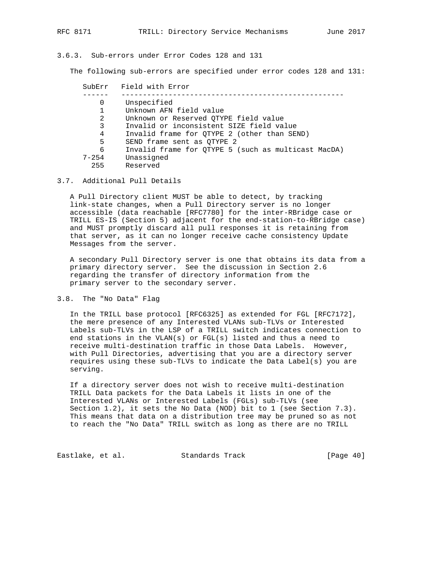#### 3.6.3. Sub-errors under Error Codes 128 and 131

The following sub-errors are specified under error codes 128 and 131:

| SubErr    | Field with Error                                    |
|-----------|-----------------------------------------------------|
|           |                                                     |
| 0         | Unspecified                                         |
| 1         | Unknown AFN field value                             |
| 2         | Unknown or Reserved QTYPE field value               |
| 3         | Invalid or inconsistent SIZE field value            |
| 4         | Invalid frame for OTYPE 2 (other than SEND)         |
| 5         | SEND frame sent as OTYPE 2                          |
| 6         | Invalid frame for OTYPE 5 (such as multicast MacDA) |
| $7 - 254$ | Unassigned                                          |
| 255       | Reserved                                            |

#### 3.7. Additional Pull Details

 A Pull Directory client MUST be able to detect, by tracking link-state changes, when a Pull Directory server is no longer accessible (data reachable [RFC7780] for the inter-RBridge case or TRILL ES-IS (Section 5) adjacent for the end-station-to-RBridge case) and MUST promptly discard all pull responses it is retaining from that server, as it can no longer receive cache consistency Update Messages from the server.

 A secondary Pull Directory server is one that obtains its data from a primary directory server. See the discussion in Section 2.6 regarding the transfer of directory information from the primary server to the secondary server.

#### 3.8. The "No Data" Flag

 In the TRILL base protocol [RFC6325] as extended for FGL [RFC7172], the mere presence of any Interested VLANs sub-TLVs or Interested Labels sub-TLVs in the LSP of a TRILL switch indicates connection to end stations in the VLAN(s) or FGL(s) listed and thus a need to receive multi-destination traffic in those Data Labels. However, with Pull Directories, advertising that you are a directory server requires using these sub-TLVs to indicate the Data Label(s) you are serving.

 If a directory server does not wish to receive multi-destination TRILL Data packets for the Data Labels it lists in one of the Interested VLANs or Interested Labels (FGLs) sub-TLVs (see Section 1.2), it sets the No Data (NOD) bit to 1 (see Section 7.3). This means that data on a distribution tree may be pruned so as not to reach the "No Data" TRILL switch as long as there are no TRILL

Eastlake, et al. Standards Track [Page 40]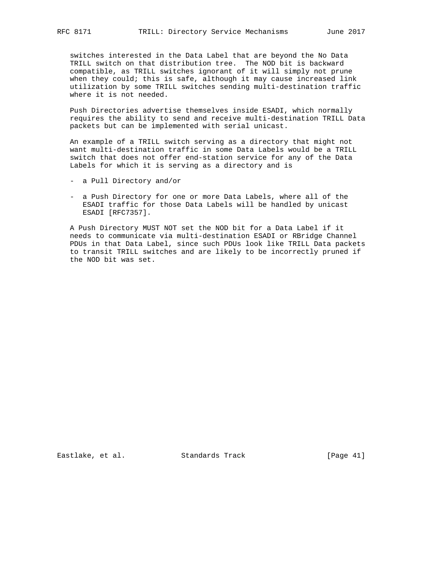switches interested in the Data Label that are beyond the No Data TRILL switch on that distribution tree. The NOD bit is backward compatible, as TRILL switches ignorant of it will simply not prune when they could; this is safe, although it may cause increased link utilization by some TRILL switches sending multi-destination traffic where it is not needed.

 Push Directories advertise themselves inside ESADI, which normally requires the ability to send and receive multi-destination TRILL Data packets but can be implemented with serial unicast.

 An example of a TRILL switch serving as a directory that might not want multi-destination traffic in some Data Labels would be a TRILL switch that does not offer end-station service for any of the Data Labels for which it is serving as a directory and is

- a Pull Directory and/or
- a Push Directory for one or more Data Labels, where all of the ESADI traffic for those Data Labels will be handled by unicast ESADI [RFC7357].

 A Push Directory MUST NOT set the NOD bit for a Data Label if it needs to communicate via multi-destination ESADI or RBridge Channel PDUs in that Data Label, since such PDUs look like TRILL Data packets to transit TRILL switches and are likely to be incorrectly pruned if the NOD bit was set.

Eastlake, et al. Standards Track [Page 41]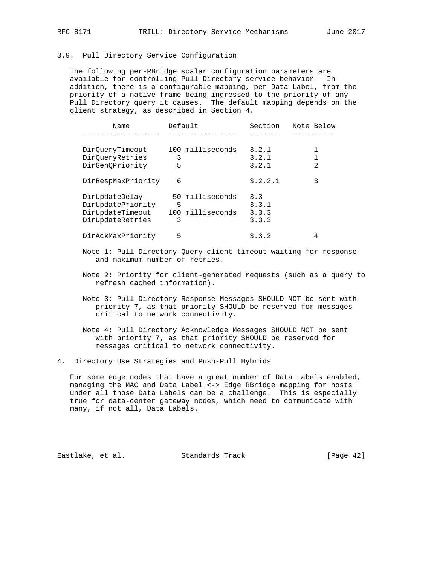#### 3.9. Pull Directory Service Configuration

 The following per-RBridge scalar configuration parameters are available for controlling Pull Directory service behavior. In addition, there is a configurable mapping, per Data Label, from the priority of a native frame being ingressed to the priority of any Pull Directory query it causes. The default mapping depends on the client strategy, as described in Section 4.

| Name                                | Default |                  | Section      | Note Below     |
|-------------------------------------|---------|------------------|--------------|----------------|
|                                     |         |                  |              |                |
| DirOueryTimeout                     |         | 100 milliseconds | 3.2.1        |                |
| DirOueryRetries                     | 3       |                  | 3.2.1        |                |
| DirGenOPriority                     | 5       |                  | 3.2.1        | $\mathfrak{D}$ |
| DirRespMaxPriority                  | 6       |                  | 3.2.2.1      | 3              |
| DirUpdateDelay<br>DirUpdatePriority | 5       | 50 milliseconds  | 3.3<br>3.3.1 |                |
| DirUpdateTimeout                    |         | 100 milliseconds | 3.3.3        |                |
| DirUpdateRetries                    | 3       |                  | 3.3.3        |                |
| DirAckMaxPriority                   | 5       |                  | 3.3.2        | 4              |

- Note 1: Pull Directory Query client timeout waiting for response and maximum number of retries.
- Note 2: Priority for client-generated requests (such as a query to refresh cached information).
- Note 3: Pull Directory Response Messages SHOULD NOT be sent with priority 7, as that priority SHOULD be reserved for messages critical to network connectivity.
- Note 4: Pull Directory Acknowledge Messages SHOULD NOT be sent with priority 7, as that priority SHOULD be reserved for messages critical to network connectivity.
- 4. Directory Use Strategies and Push-Pull Hybrids

 For some edge nodes that have a great number of Data Labels enabled, managing the MAC and Data Label <-> Edge RBridge mapping for hosts under all those Data Labels can be a challenge. This is especially true for data-center gateway nodes, which need to communicate with many, if not all, Data Labels.

Eastlake, et al. Standards Track [Page 42]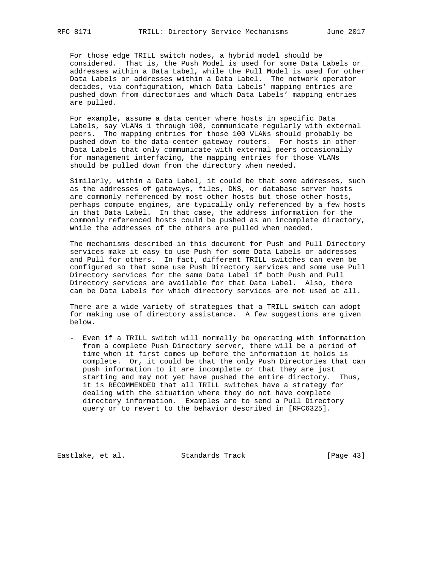For those edge TRILL switch nodes, a hybrid model should be considered. That is, the Push Model is used for some Data Labels or addresses within a Data Label, while the Pull Model is used for other Data Labels or addresses within a Data Label. The network operator decides, via configuration, which Data Labels' mapping entries are pushed down from directories and which Data Labels' mapping entries are pulled.

 For example, assume a data center where hosts in specific Data Labels, say VLANs 1 through 100, communicate regularly with external peers. The mapping entries for those 100 VLANs should probably be pushed down to the data-center gateway routers. For hosts in other Data Labels that only communicate with external peers occasionally for management interfacing, the mapping entries for those VLANs should be pulled down from the directory when needed.

 Similarly, within a Data Label, it could be that some addresses, such as the addresses of gateways, files, DNS, or database server hosts are commonly referenced by most other hosts but those other hosts, perhaps compute engines, are typically only referenced by a few hosts in that Data Label. In that case, the address information for the commonly referenced hosts could be pushed as an incomplete directory, while the addresses of the others are pulled when needed.

 The mechanisms described in this document for Push and Pull Directory services make it easy to use Push for some Data Labels or addresses and Pull for others. In fact, different TRILL switches can even be configured so that some use Push Directory services and some use Pull Directory services for the same Data Label if both Push and Pull Directory services are available for that Data Label. Also, there can be Data Labels for which directory services are not used at all.

 There are a wide variety of strategies that a TRILL switch can adopt for making use of directory assistance. A few suggestions are given below.

 - Even if a TRILL switch will normally be operating with information from a complete Push Directory server, there will be a period of time when it first comes up before the information it holds is complete. Or, it could be that the only Push Directories that can push information to it are incomplete or that they are just starting and may not yet have pushed the entire directory. Thus, it is RECOMMENDED that all TRILL switches have a strategy for dealing with the situation where they do not have complete directory information. Examples are to send a Pull Directory query or to revert to the behavior described in [RFC6325].

Eastlake, et al. Standards Track [Page 43]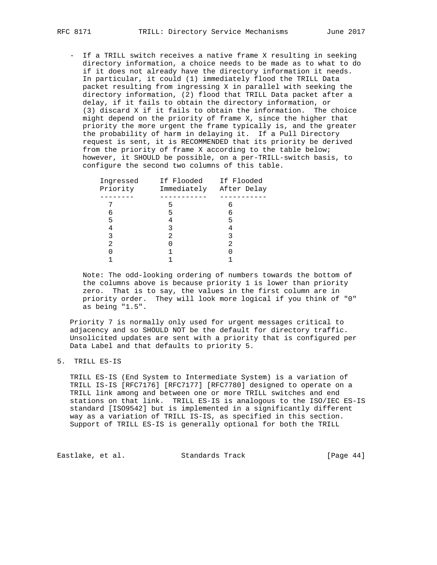- If a TRILL switch receives a native frame X resulting in seeking directory information, a choice needs to be made as to what to do if it does not already have the directory information it needs. In particular, it could (1) immediately flood the TRILL Data packet resulting from ingressing X in parallel with seeking the directory information, (2) flood that TRILL Data packet after a delay, if it fails to obtain the directory information, or (3) discard X if it fails to obtain the information. The choice might depend on the priority of frame X, since the higher that priority the more urgent the frame typically is, and the greater the probability of harm in delaying it. If a Pull Directory request is sent, it is RECOMMENDED that its priority be derived from the priority of frame X according to the table below; however, it SHOULD be possible, on a per-TRILL-switch basis, to configure the second two columns of this table.

| Ingressed<br>Priority | If Flooded If Flooded | Immediately After Delay |
|-----------------------|-----------------------|-------------------------|
|                       |                       |                         |
| 6                     | 5                     | 6                       |
| 5                     |                       | 5                       |
|                       |                       |                         |
|                       | 2                     |                         |
|                       |                       |                         |
|                       |                       |                         |
|                       |                       |                         |

 Note: The odd-looking ordering of numbers towards the bottom of the columns above is because priority 1 is lower than priority zero. That is to say, the values in the first column are in priority order. They will look more logical if you think of "0" as being "1.5".

 Priority 7 is normally only used for urgent messages critical to adjacency and so SHOULD NOT be the default for directory traffic. Unsolicited updates are sent with a priority that is configured per Data Label and that defaults to priority 5.

#### 5. TRILL ES-IS

 TRILL ES-IS (End System to Intermediate System) is a variation of TRILL IS-IS [RFC7176] [RFC7177] [RFC7780] designed to operate on a TRILL link among and between one or more TRILL switches and end stations on that link. TRILL ES-IS is analogous to the ISO/IEC ES-IS standard [ISO9542] but is implemented in a significantly different way as a variation of TRILL IS-IS, as specified in this section. Support of TRILL ES-IS is generally optional for both the TRILL

Eastlake, et al. Standards Track [Page 44]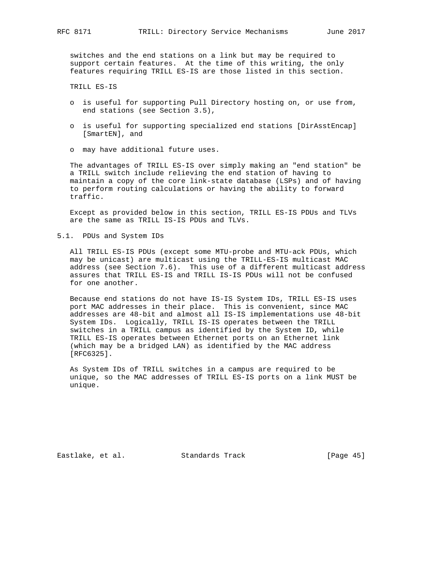switches and the end stations on a link but may be required to support certain features. At the time of this writing, the only features requiring TRILL ES-IS are those listed in this section.

TRILL ES-IS

- o is useful for supporting Pull Directory hosting on, or use from, end stations (see Section 3.5),
- o is useful for supporting specialized end stations [DirAsstEncap] [SmartEN], and
- o may have additional future uses.

 The advantages of TRILL ES-IS over simply making an "end station" be a TRILL switch include relieving the end station of having to maintain a copy of the core link-state database (LSPs) and of having to perform routing calculations or having the ability to forward traffic.

 Except as provided below in this section, TRILL ES-IS PDUs and TLVs are the same as TRILL IS-IS PDUs and TLVs.

5.1. PDUs and System IDs

 All TRILL ES-IS PDUs (except some MTU-probe and MTU-ack PDUs, which may be unicast) are multicast using the TRILL-ES-IS multicast MAC address (see Section 7.6). This use of a different multicast address assures that TRILL ES-IS and TRILL IS-IS PDUs will not be confused for one another.

 Because end stations do not have IS-IS System IDs, TRILL ES-IS uses port MAC addresses in their place. This is convenient, since MAC addresses are 48-bit and almost all IS-IS implementations use 48-bit System IDs. Logically, TRILL IS-IS operates between the TRILL switches in a TRILL campus as identified by the System ID, while TRILL ES-IS operates between Ethernet ports on an Ethernet link (which may be a bridged LAN) as identified by the MAC address [RFC6325].

 As System IDs of TRILL switches in a campus are required to be unique, so the MAC addresses of TRILL ES-IS ports on a link MUST be unique.

Eastlake, et al. Standards Track [Page 45]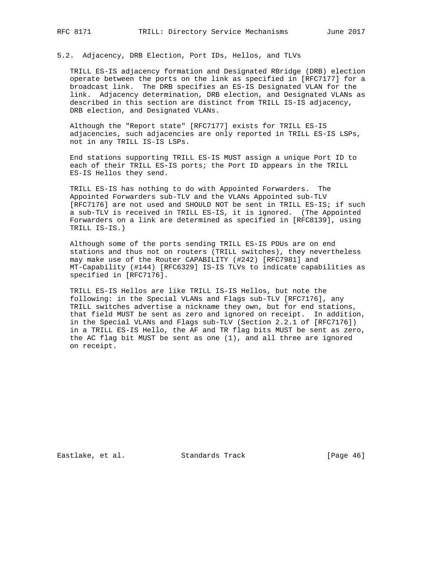5.2. Adjacency, DRB Election, Port IDs, Hellos, and TLVs

 TRILL ES-IS adjacency formation and Designated RBridge (DRB) election operate between the ports on the link as specified in [RFC7177] for a broadcast link. The DRB specifies an ES-IS Designated VLAN for the link. Adjacency determination, DRB election, and Designated VLANs as described in this section are distinct from TRILL IS-IS adjacency, DRB election, and Designated VLANs.

 Although the "Report state" [RFC7177] exists for TRILL ES-IS adjacencies, such adjacencies are only reported in TRILL ES-IS LSPs, not in any TRILL IS-IS LSPs.

 End stations supporting TRILL ES-IS MUST assign a unique Port ID to each of their TRILL ES-IS ports; the Port ID appears in the TRILL ES-IS Hellos they send.

 TRILL ES-IS has nothing to do with Appointed Forwarders. The Appointed Forwarders sub-TLV and the VLANs Appointed sub-TLV [RFC7176] are not used and SHOULD NOT be sent in TRILL ES-IS; if such a sub-TLV is received in TRILL ES-IS, it is ignored. (The Appointed Forwarders on a link are determined as specified in [RFC8139], using TRILL IS-IS.)

 Although some of the ports sending TRILL ES-IS PDUs are on end stations and thus not on routers (TRILL switches), they nevertheless may make use of the Router CAPABILITY (#242) [RFC7981] and MT-Capability (#144) [RFC6329] IS-IS TLVs to indicate capabilities as specified in [RFC7176].

 TRILL ES-IS Hellos are like TRILL IS-IS Hellos, but note the following: in the Special VLANs and Flags sub-TLV [RFC7176], any TRILL switches advertise a nickname they own, but for end stations, that field MUST be sent as zero and ignored on receipt. In addition, in the Special VLANs and Flags sub-TLV (Section 2.2.1 of [RFC7176]) in a TRILL ES-IS Hello, the AF and TR flag bits MUST be sent as zero, the AC flag bit MUST be sent as one (1), and all three are ignored on receipt.

Eastlake, et al. Standards Track [Page 46]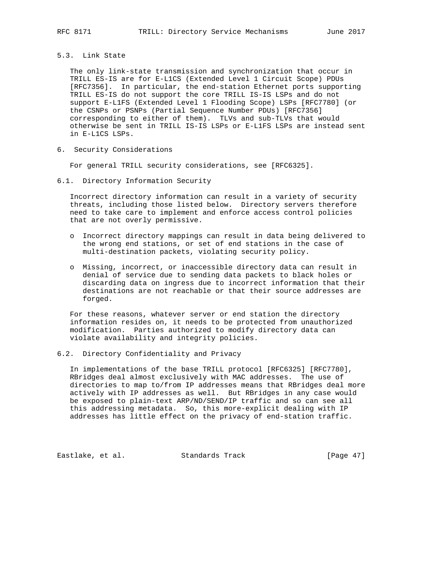### 5.3. Link State

 The only link-state transmission and synchronization that occur in TRILL ES-IS are for E-L1CS (Extended Level 1 Circuit Scope) PDUs [RFC7356]. In particular, the end-station Ethernet ports supporting TRILL ES-IS do not support the core TRILL IS-IS LSPs and do not support E-L1FS (Extended Level 1 Flooding Scope) LSPs [RFC7780] (or the CSNPs or PSNPs (Partial Sequence Number PDUs) [RFC7356] corresponding to either of them). TLVs and sub-TLVs that would otherwise be sent in TRILL IS-IS LSPs or E-L1FS LSPs are instead sent in E-L1CS LSPs.

6. Security Considerations

For general TRILL security considerations, see [RFC6325].

6.1. Directory Information Security

 Incorrect directory information can result in a variety of security threats, including those listed below. Directory servers therefore need to take care to implement and enforce access control policies that are not overly permissive.

- o Incorrect directory mappings can result in data being delivered to the wrong end stations, or set of end stations in the case of multi-destination packets, violating security policy.
- o Missing, incorrect, or inaccessible directory data can result in denial of service due to sending data packets to black holes or discarding data on ingress due to incorrect information that their destinations are not reachable or that their source addresses are forged.

 For these reasons, whatever server or end station the directory information resides on, it needs to be protected from unauthorized modification. Parties authorized to modify directory data can violate availability and integrity policies.

6.2. Directory Confidentiality and Privacy

 In implementations of the base TRILL protocol [RFC6325] [RFC7780], RBridges deal almost exclusively with MAC addresses. The use of directories to map to/from IP addresses means that RBridges deal more actively with IP addresses as well. But RBridges in any case would be exposed to plain-text ARP/ND/SEND/IP traffic and so can see all this addressing metadata. So, this more-explicit dealing with IP addresses has little effect on the privacy of end-station traffic.

Eastlake, et al. Standards Track [Page 47]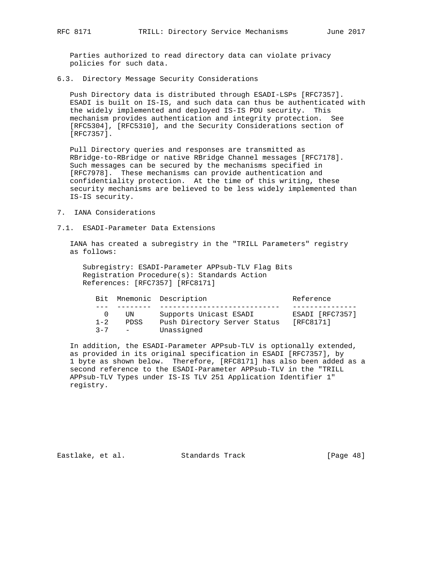Parties authorized to read directory data can violate privacy policies for such data.

6.3. Directory Message Security Considerations

 Push Directory data is distributed through ESADI-LSPs [RFC7357]. ESADI is built on IS-IS, and such data can thus be authenticated with the widely implemented and deployed IS-IS PDU security. This mechanism provides authentication and integrity protection. See [RFC5304], [RFC5310], and the Security Considerations section of [RFC7357].

 Pull Directory queries and responses are transmitted as RBridge-to-RBridge or native RBridge Channel messages [RFC7178]. Such messages can be secured by the mechanisms specified in [RFC7978]. These mechanisms can provide authentication and confidentiality protection. At the time of this writing, these security mechanisms are believed to be less widely implemented than IS-IS security.

- 7. IANA Considerations
- 7.1. ESADI-Parameter Data Extensions

 IANA has created a subregistry in the "TRILL Parameters" registry as follows:

 Subregistry: ESADI-Parameter APPsub-TLV Flag Bits Registration Procedure(s): Standards Action References: [RFC7357] [RFC8171]

|         |               | Bit Mnemonic Description     | Reference       |
|---------|---------------|------------------------------|-----------------|
|         |               |                              |                 |
|         | UN            | Supports Unicast ESADI       | ESADI [RFC7357] |
| $1 - 2$ | PDSS          | Push Directory Server Status | [RFC8171]       |
| $2 - 7$ | $\sim$ $\sim$ | Unassigned                   |                 |

 In addition, the ESADI-Parameter APPsub-TLV is optionally extended, as provided in its original specification in ESADI [RFC7357], by 1 byte as shown below. Therefore, [RFC8171] has also been added as a second reference to the ESADI-Parameter APPsub-TLV in the "TRILL APPsub-TLV Types under IS-IS TLV 251 Application Identifier 1" registry.

Eastlake, et al. Standards Track [Page 48]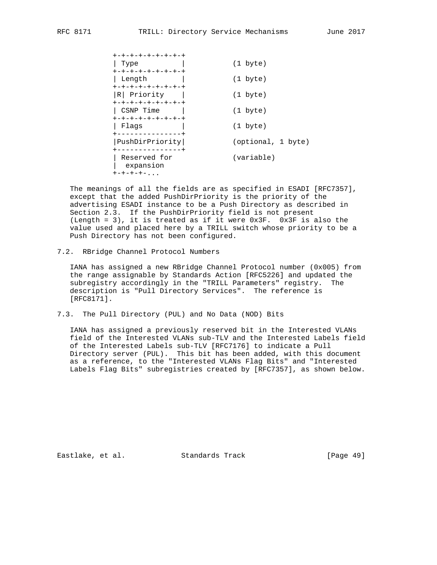| +-+-+-+-+-+-+-+-+         |                    |
|---------------------------|--------------------|
| Type                      | $(1 \text{byte})$  |
| +-+-+-+-+-+-+-+-+         |                    |
| Length                    | $(1 \text{byte})$  |
| +-+-+-+-+-+-+-+-+         |                    |
| R Priority                | $(1 \text{byte})$  |
| +-+-+-+-+-+-+-+-+         |                    |
| CSNP Time                 | $(1 \text{byte})$  |
| +-+-+-+-+-+-+-+-+         |                    |
| Flaqs                     | $(1 \text{byte})$  |
| +--------------+          |                    |
| PushDirPriority           | (optional, 1 byte) |
|                           |                    |
| Reserved for<br>expansion | (variable)         |
| $+ - + - + - + -$         |                    |

 The meanings of all the fields are as specified in ESADI [RFC7357], except that the added PushDirPriority is the priority of the advertising ESADI instance to be a Push Directory as described in Section 2.3. If the PushDirPriority field is not present (Length = 3), it is treated as if it were 0x3F. 0x3F is also the value used and placed here by a TRILL switch whose priority to be a Push Directory has not been configured.

7.2. RBridge Channel Protocol Numbers

 IANA has assigned a new RBridge Channel Protocol number (0x005) from the range assignable by Standards Action [RFC5226] and updated the subregistry accordingly in the "TRILL Parameters" registry. The description is "Pull Directory Services". The reference is [RFC8171].

7.3. The Pull Directory (PUL) and No Data (NOD) Bits

 IANA has assigned a previously reserved bit in the Interested VLANs field of the Interested VLANs sub-TLV and the Interested Labels field of the Interested Labels sub-TLV [RFC7176] to indicate a Pull Directory server (PUL). This bit has been added, with this document as a reference, to the "Interested VLANs Flag Bits" and "Interested Labels Flag Bits" subregistries created by [RFC7357], as shown below.

Eastlake, et al. Standards Track [Page 49]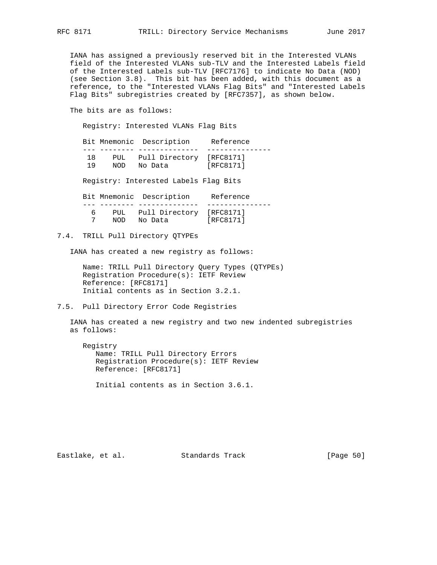IANA has assigned a previously reserved bit in the Interested VLANs field of the Interested VLANs sub-TLV and the Interested Labels field of the Interested Labels sub-TLV [RFC7176] to indicate No Data (NOD) (see Section 3.8). This bit has been added, with this document as a reference, to the "Interested VLANs Flag Bits" and "Interested Labels Flag Bits" subregistries created by [RFC7357], as shown below.

The bits are as follows:

Registry: Interested VLANs Flag Bits

 Bit Mnemonic Description Reference --- -------- -------------- --------------- 18 PUL Pull Directory [RFC8171] 19 NOD No Data [RFC8171] Registry: Interested Labels Flag Bits Bit Mnemonic Description Reference --- -------- -------------- --------------- 6 PUL Pull Directory [RFC8171] 7 NOD No Data [RFC8171]

7.4. TRILL Pull Directory QTYPEs

IANA has created a new registry as follows:

 Name: TRILL Pull Directory Query Types (QTYPEs) Registration Procedure(s): IETF Review Reference: [RFC8171] Initial contents as in Section 3.2.1.

7.5. Pull Directory Error Code Registries

 IANA has created a new registry and two new indented subregistries as follows:

 Registry Name: TRILL Pull Directory Errors Registration Procedure(s): IETF Review Reference: [RFC8171]

Initial contents as in Section 3.6.1.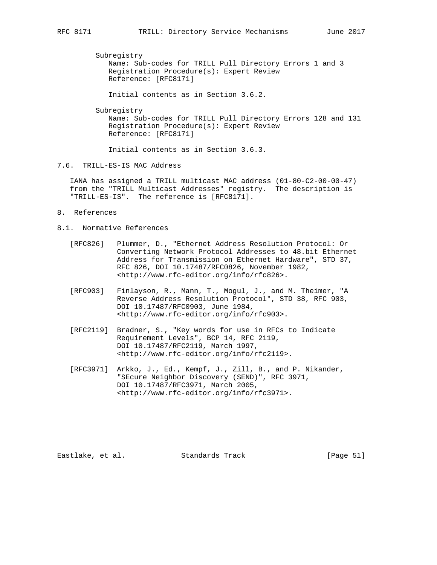Subregistry

 Name: Sub-codes for TRILL Pull Directory Errors 1 and 3 Registration Procedure(s): Expert Review Reference: [RFC8171]

Initial contents as in Section 3.6.2.

Subregistry

 Name: Sub-codes for TRILL Pull Directory Errors 128 and 131 Registration Procedure(s): Expert Review Reference: [RFC8171]

Initial contents as in Section 3.6.3.

7.6. TRILL-ES-IS MAC Address

 IANA has assigned a TRILL multicast MAC address (01-80-C2-00-00-47) from the "TRILL Multicast Addresses" registry. The description is "TRILL-ES-IS". The reference is [RFC8171].

- 8. References
- 8.1. Normative References
	- [RFC826] Plummer, D., "Ethernet Address Resolution Protocol: Or Converting Network Protocol Addresses to 48.bit Ethernet Address for Transmission on Ethernet Hardware", STD 37, RFC 826, DOI 10.17487/RFC0826, November 1982, <http://www.rfc-editor.org/info/rfc826>.
	- [RFC903] Finlayson, R., Mann, T., Mogul, J., and M. Theimer, "A Reverse Address Resolution Protocol", STD 38, RFC 903, DOI 10.17487/RFC0903, June 1984, <http://www.rfc-editor.org/info/rfc903>.
	- [RFC2119] Bradner, S., "Key words for use in RFCs to Indicate Requirement Levels", BCP 14, RFC 2119, DOI 10.17487/RFC2119, March 1997, <http://www.rfc-editor.org/info/rfc2119>.
	- [RFC3971] Arkko, J., Ed., Kempf, J., Zill, B., and P. Nikander, "SEcure Neighbor Discovery (SEND)", RFC 3971, DOI 10.17487/RFC3971, March 2005, <http://www.rfc-editor.org/info/rfc3971>.

Eastlake, et al. Standards Track [Page 51]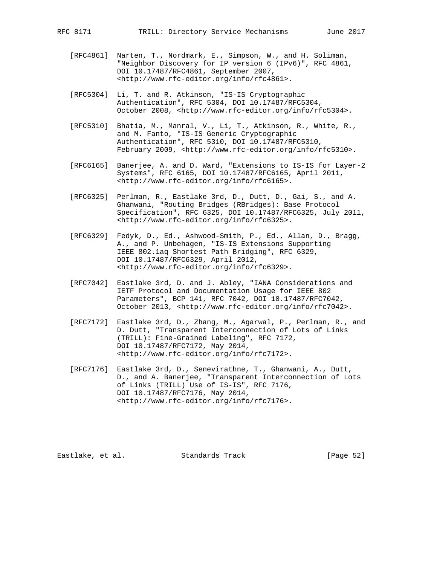- [RFC4861] Narten, T., Nordmark, E., Simpson, W., and H. Soliman, "Neighbor Discovery for IP version 6 (IPv6)", RFC 4861, DOI 10.17487/RFC4861, September 2007, <http://www.rfc-editor.org/info/rfc4861>.
- [RFC5304] Li, T. and R. Atkinson, "IS-IS Cryptographic Authentication", RFC 5304, DOI 10.17487/RFC5304, October 2008, <http://www.rfc-editor.org/info/rfc5304>.
- [RFC5310] Bhatia, M., Manral, V., Li, T., Atkinson, R., White, R., and M. Fanto, "IS-IS Generic Cryptographic Authentication", RFC 5310, DOI 10.17487/RFC5310, February 2009, <http://www.rfc-editor.org/info/rfc5310>.
- [RFC6165] Banerjee, A. and D. Ward, "Extensions to IS-IS for Layer-2 Systems", RFC 6165, DOI 10.17487/RFC6165, April 2011, <http://www.rfc-editor.org/info/rfc6165>.
- [RFC6325] Perlman, R., Eastlake 3rd, D., Dutt, D., Gai, S., and A. Ghanwani, "Routing Bridges (RBridges): Base Protocol Specification", RFC 6325, DOI 10.17487/RFC6325, July 2011, <http://www.rfc-editor.org/info/rfc6325>.
- [RFC6329] Fedyk, D., Ed., Ashwood-Smith, P., Ed., Allan, D., Bragg, A., and P. Unbehagen, "IS-IS Extensions Supporting IEEE 802.1aq Shortest Path Bridging", RFC 6329, DOI 10.17487/RFC6329, April 2012, <http://www.rfc-editor.org/info/rfc6329>.
- [RFC7042] Eastlake 3rd, D. and J. Abley, "IANA Considerations and IETF Protocol and Documentation Usage for IEEE 802 Parameters", BCP 141, RFC 7042, DOI 10.17487/RFC7042, October 2013, <http://www.rfc-editor.org/info/rfc7042>.
- [RFC7172] Eastlake 3rd, D., Zhang, M., Agarwal, P., Perlman, R., and D. Dutt, "Transparent Interconnection of Lots of Links (TRILL): Fine-Grained Labeling", RFC 7172, DOI 10.17487/RFC7172, May 2014, <http://www.rfc-editor.org/info/rfc7172>.
- [RFC7176] Eastlake 3rd, D., Senevirathne, T., Ghanwani, A., Dutt, D., and A. Banerjee, "Transparent Interconnection of Lots of Links (TRILL) Use of IS-IS", RFC 7176, DOI 10.17487/RFC7176, May 2014, <http://www.rfc-editor.org/info/rfc7176>.

Eastlake, et al. Standards Track [Page 52]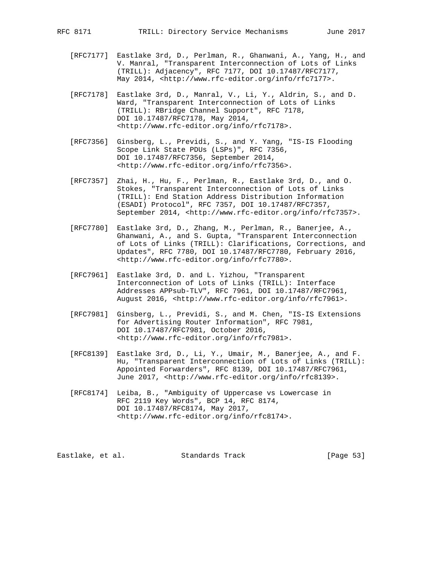- [RFC7177] Eastlake 3rd, D., Perlman, R., Ghanwani, A., Yang, H., and V. Manral, "Transparent Interconnection of Lots of Links (TRILL): Adjacency", RFC 7177, DOI 10.17487/RFC7177, May 2014, <http://www.rfc-editor.org/info/rfc7177>.
- [RFC7178] Eastlake 3rd, D., Manral, V., Li, Y., Aldrin, S., and D. Ward, "Transparent Interconnection of Lots of Links (TRILL): RBridge Channel Support", RFC 7178, DOI 10.17487/RFC7178, May 2014, <http://www.rfc-editor.org/info/rfc7178>.
- [RFC7356] Ginsberg, L., Previdi, S., and Y. Yang, "IS-IS Flooding Scope Link State PDUs (LSPs)", RFC 7356, DOI 10.17487/RFC7356, September 2014, <http://www.rfc-editor.org/info/rfc7356>.
- [RFC7357] Zhai, H., Hu, F., Perlman, R., Eastlake 3rd, D., and O. Stokes, "Transparent Interconnection of Lots of Links (TRILL): End Station Address Distribution Information (ESADI) Protocol", RFC 7357, DOI 10.17487/RFC7357, September 2014, <http://www.rfc-editor.org/info/rfc7357>.
- [RFC7780] Eastlake 3rd, D., Zhang, M., Perlman, R., Banerjee, A., Ghanwani, A., and S. Gupta, "Transparent Interconnection of Lots of Links (TRILL): Clarifications, Corrections, and Updates", RFC 7780, DOI 10.17487/RFC7780, February 2016, <http://www.rfc-editor.org/info/rfc7780>.
- [RFC7961] Eastlake 3rd, D. and L. Yizhou, "Transparent Interconnection of Lots of Links (TRILL): Interface Addresses APPsub-TLV", RFC 7961, DOI 10.17487/RFC7961, August 2016, <http://www.rfc-editor.org/info/rfc7961>.
- [RFC7981] Ginsberg, L., Previdi, S., and M. Chen, "IS-IS Extensions for Advertising Router Information", RFC 7981, DOI 10.17487/RFC7981, October 2016, <http://www.rfc-editor.org/info/rfc7981>.
- [RFC8139] Eastlake 3rd, D., Li, Y., Umair, M., Banerjee, A., and F. Hu, "Transparent Interconnection of Lots of Links (TRILL): Appointed Forwarders", RFC 8139, DOI 10.17487/RFC7961, June 2017, <http://www.rfc-editor.org/info/rfc8139>.
- [RFC8174] Leiba, B., "Ambiguity of Uppercase vs Lowercase in RFC 2119 Key Words", BCP 14, RFC 8174, DOI 10.17487/RFC8174, May 2017, <http://www.rfc-editor.org/info/rfc8174>.

Eastlake, et al. Standards Track [Page 53]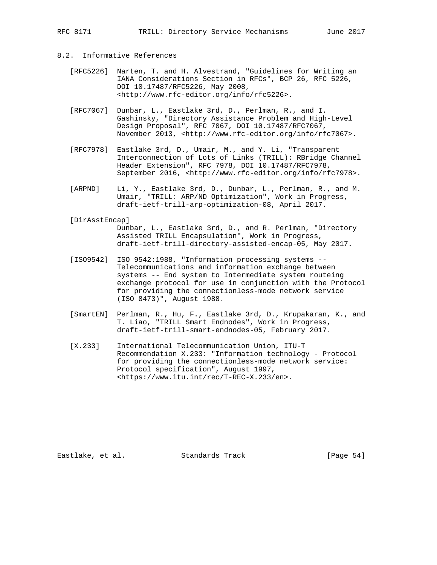RFC 8171 TRILL: Directory Service Mechanisms June 2017

- 8.2. Informative References
	- [RFC5226] Narten, T. and H. Alvestrand, "Guidelines for Writing an IANA Considerations Section in RFCs", BCP 26, RFC 5226, DOI 10.17487/RFC5226, May 2008, <http://www.rfc-editor.org/info/rfc5226>.
	- [RFC7067] Dunbar, L., Eastlake 3rd, D., Perlman, R., and I. Gashinsky, "Directory Assistance Problem and High-Level Design Proposal", RFC 7067, DOI 10.17487/RFC7067, November 2013, <http://www.rfc-editor.org/info/rfc7067>.
	- [RFC7978] Eastlake 3rd, D., Umair, M., and Y. Li, "Transparent Interconnection of Lots of Links (TRILL): RBridge Channel Header Extension", RFC 7978, DOI 10.17487/RFC7978, September 2016, <http://www.rfc-editor.org/info/rfc7978>.
	- [ARPND] Li, Y., Eastlake 3rd, D., Dunbar, L., Perlman, R., and M. Umair, "TRILL: ARP/ND Optimization", Work in Progress, draft-ietf-trill-arp-optimization-08, April 2017.

#### [DirAsstEncap]

 Dunbar, L., Eastlake 3rd, D., and R. Perlman, "Directory Assisted TRILL Encapsulation", Work in Progress, draft-ietf-trill-directory-assisted-encap-05, May 2017.

- [ISO9542] ISO 9542:1988, "Information processing systems -- Telecommunications and information exchange between systems -- End system to Intermediate system routeing exchange protocol for use in conjunction with the Protocol for providing the connectionless-mode network service (ISO 8473)", August 1988.
- [SmartEN] Perlman, R., Hu, F., Eastlake 3rd, D., Krupakaran, K., and T. Liao, "TRILL Smart Endnodes", Work in Progress, draft-ietf-trill-smart-endnodes-05, February 2017.
- [X.233] International Telecommunication Union, ITU-T Recommendation X.233: "Information technology - Protocol for providing the connectionless-mode network service: Protocol specification", August 1997, <https://www.itu.int/rec/T-REC-X.233/en>.

Eastlake, et al. Standards Track [Page 54]